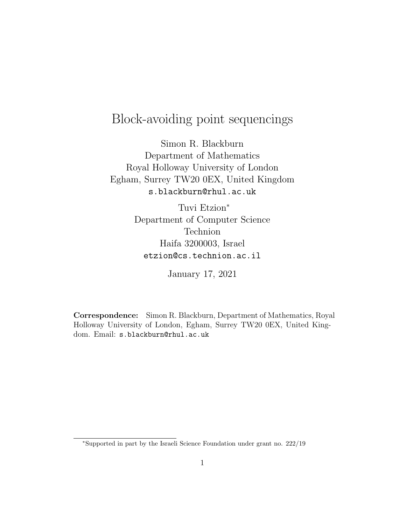# Block-avoiding point sequencings

Simon R. Blackburn Department of Mathematics Royal Holloway University of London Egham, Surrey TW20 0EX, United Kingdom s.blackburn@rhul.ac.uk

> Tuvi Etzion<sup>∗</sup> Department of Computer Science Technion Haifa 3200003, Israel etzion@cs.technion.ac.il

> > January 17, 2021

Correspondence: Simon R. Blackburn, Department of Mathematics, Royal Holloway University of London, Egham, Surrey TW20 0EX, United Kingdom. Email: s.blackburn@rhul.ac.uk

<sup>∗</sup>Supported in part by the Israeli Science Foundation under grant no. 222/19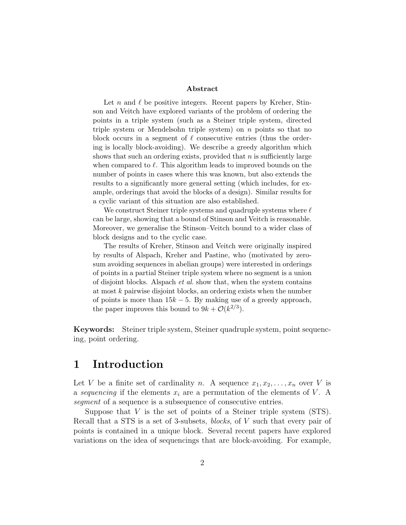#### Abstract

Let n and  $\ell$  be positive integers. Recent papers by Kreher, Stinson and Veitch have explored variants of the problem of ordering the points in a triple system (such as a Steiner triple system, directed triple system or Mendelsohn triple system) on n points so that no block occurs in a segment of  $\ell$  consecutive entries (thus the ordering is locally block-avoiding). We describe a greedy algorithm which shows that such an ordering exists, provided that  $n$  is sufficiently large when compared to  $\ell$ . This algorithm leads to improved bounds on the number of points in cases where this was known, but also extends the results to a significantly more general setting (which includes, for example, orderings that avoid the blocks of a design). Similar results for a cyclic variant of this situation are also established.

We construct Steiner triple systems and quadruple systems where  $\ell$ can be large, showing that a bound of Stinson and Veitch is reasonable. Moreover, we generalise the Stinson–Veitch bound to a wider class of block designs and to the cyclic case.

The results of Kreher, Stinson and Veitch were originally inspired by results of Alspach, Kreher and Pastine, who (motivated by zerosum avoiding sequences in abelian groups) were interested in orderings of points in a partial Steiner triple system where no segment is a union of disjoint blocks. Alspach et al. show that, when the system contains at most  $k$  pairwise disjoint blocks, an ordering exists when the number of points is more than  $15k - 5$ . By making use of a greedy approach, the paper improves this bound to  $9k + \mathcal{O}(k^{2/3})$ .

Keywords: Steiner triple system, Steiner quadruple system, point sequencing, point ordering.

### 1 Introduction

Let V be a finite set of cardinality n. A sequence  $x_1, x_2, \ldots, x_n$  over V is a sequencing if the elements  $x_i$  are a permutation of the elements of V. A segment of a sequence is a subsequence of consecutive entries.

Suppose that  $V$  is the set of points of a Steiner triple system  $(STS)$ . Recall that a STS is a set of 3-subsets, blocks, of V such that every pair of points is contained in a unique block. Several recent papers have explored variations on the idea of sequencings that are block-avoiding. For example,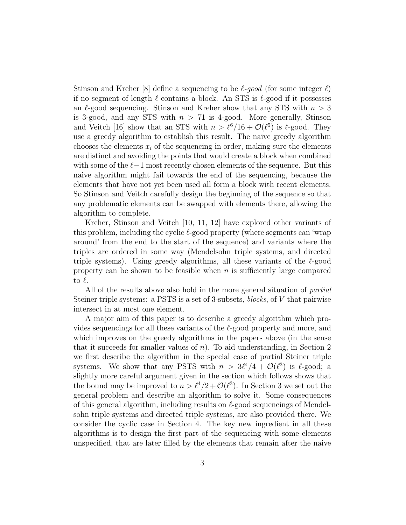Stinson and Kreher [8] define a sequencing to be  $\ell$ -good (for some integer  $\ell$ ) if no segment of length  $\ell$  contains a block. An STS is  $\ell$ -good if it possesses an  $\ell$ -good sequencing. Stinson and Kreher show that any STS with  $n > 3$ is 3-good, and any STS with  $n > 71$  is 4-good. More generally, Stinson and Veitch [16] show that an STS with  $n > \ell^6/16 + \mathcal{O}(\ell^5)$  is  $\ell$ -good. They use a greedy algorithm to establish this result. The naive greedy algorithm chooses the elements  $x_i$  of the sequencing in order, making sure the elements are distinct and avoiding the points that would create a block when combined with some of the  $\ell-1$  most recently chosen elements of the sequence. But this naive algorithm might fail towards the end of the sequencing, because the elements that have not yet been used all form a block with recent elements. So Stinson and Veitch carefully design the beginning of the sequence so that any problematic elements can be swapped with elements there, allowing the algorithm to complete.

Kreher, Stinson and Veitch [10, 11, 12] have explored other variants of this problem, including the cyclic  $\ell$ -good property (where segments can 'wrap around' from the end to the start of the sequence) and variants where the triples are ordered in some way (Mendelsohn triple systems, and directed triple systems). Using greedy algorithms, all these variants of the  $\ell$ -good property can be shown to be feasible when  $n$  is sufficiently large compared to  $\ell$ .

All of the results above also hold in the more general situation of partial Steiner triple systems: a PSTS is a set of 3-subsets, blocks, of V that pairwise intersect in at most one element.

A major aim of this paper is to describe a greedy algorithm which provides sequencings for all these variants of the  $\ell$ -good property and more, and which improves on the greedy algorithms in the papers above (in the sense that it succeeds for smaller values of  $n$ ). To aid understanding, in Section 2 we first describe the algorithm in the special case of partial Steiner triple systems. We show that any PSTS with  $n > 3\ell^4/4 + \mathcal{O}(\ell^3)$  is  $\ell$ -good; a slightly more careful argument given in the section which follows shows that the bound may be improved to  $n > \ell^4/2 + \mathcal{O}(\ell^3)$ . In Section 3 we set out the general problem and describe an algorithm to solve it. Some consequences of this general algorithm, including results on  $\ell$ -good sequencings of Mendelsohn triple systems and directed triple systems, are also provided there. We consider the cyclic case in Section 4. The key new ingredient in all these algorithms is to design the first part of the sequencing with some elements unspecified, that are later filled by the elements that remain after the naive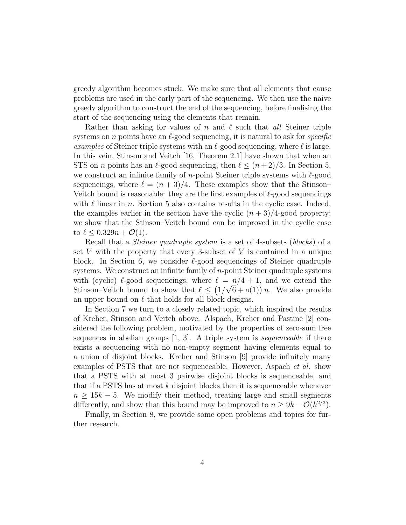greedy algorithm becomes stuck. We make sure that all elements that cause problems are used in the early part of the sequencing. We then use the naive greedy algorithm to construct the end of the sequencing, before finalising the start of the sequencing using the elements that remain.

Rather than asking for values of n and  $\ell$  such that all Steiner triple systems on n points have an  $\ell$ -good sequencing, it is natural to ask for *specific* examples of Steiner triple systems with an  $\ell$ -good sequencing, where  $\ell$  is large. In this vein, Stinson and Veitch [16, Theorem 2.1] have shown that when an STS on *n* points has an  $\ell$ -good sequencing, then  $\ell \leq (n + 2)/3$ . In Section 5, we construct an infinite family of *n*-point Steiner triple systems with  $\ell$ -good sequencings, where  $\ell = (n + 3)/4$ . These examples show that the Stinson– Veitch bound is reasonable: they are the first examples of  $\ell$ -good sequencings with  $\ell$  linear in n. Section 5 also contains results in the cyclic case. Indeed, the examples earlier in the section have the cyclic  $(n+3)/4$ -good property; we show that the Stinson–Veitch bound can be improved in the cyclic case to  $\ell \leq 0.329n + \mathcal{O}(1)$ .

Recall that a *Steiner quadruple system* is a set of 4-subsets *(blocks)* of a set  $V$  with the property that every 3-subset of  $V$  is contained in a unique block. In Section 6, we consider  $\ell$ -good sequencings of Steiner quadruple systems. We construct an infinite family of  $n$ -point Steiner quadruple systems with (cyclic)  $\ell$ -good sequencings, where  $\ell = n/4 + 1$ , and we extend the Stinson–Veitch bound to show that  $\ell \leq (1/\sqrt{6} + o(1))n$ . We also provide an upper bound on  $\ell$  that holds for all block designs.

In Section 7 we turn to a closely related topic, which inspired the results of Kreher, Stinson and Veitch above. Alspach, Kreher and Pastine [2] considered the following problem, motivated by the properties of zero-sum free sequences in abelian groups  $[1, 3]$ . A triple system is *sequenceable* if there exists a sequencing with no non-empty segment having elements equal to a union of disjoint blocks. Kreher and Stinson [9] provide infinitely many examples of PSTS that are not sequenceable. However, Aspach et al. show that a PSTS with at most 3 pairwise disjoint blocks is sequenceable, and that if a PSTS has at most  $k$  disjoint blocks then it is sequenceable whenever  $n \geq 15k - 5$ . We modify their method, treating large and small segments differently, and show that this bound may be improved to  $n \ge 9k - \mathcal{O}(k^{2/3})$ .

Finally, in Section 8, we provide some open problems and topics for further research.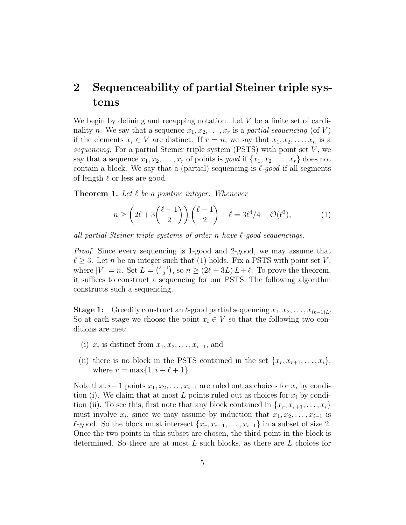# 2 Sequenceability of partial Steiner triple systems

We begin by defining and recapping notation. Let  $V$  be a finite set of cardinality n. We say that a sequence  $x_1, x_2, \ldots, x_r$  is a partial sequencing (of V) if the elements  $x_i \in V$  are distinct. If  $r = n$ , we say that  $x_1, x_2, \ldots, x_n$  is a sequencing. For a partial Steiner triple system (PSTS) with point set  $V$ , we say that a sequence  $x_1, x_2, \ldots, x_r$  of points is good if  $\{x_1, x_2, \ldots, x_r\}$  does not contain a block. We say that a (partial) sequencing is  $\ell$ -good if all segments of length  $\ell$  or less are good.

**Theorem 1.** Let  $\ell$  be a positive integer. Whenever

$$
n \ge \left(2\ell + 3\binom{\ell-1}{2}\right)\binom{\ell-1}{2} + \ell = 3\ell^4/4 + \mathcal{O}(\ell^3),\tag{1}
$$

all partial Steiner triple systems of order n have  $\ell$ -good sequencings.

Proof. Since every sequencing is 1-good and 2-good, we may assume that  $\ell \geq 3$ . Let n be an integer such that (1) holds. Fix a PSTS with point set V, where  $|V| = n$ . Set  $L = \binom{\ell-1}{2}$  $\binom{-1}{2}$ , so  $n \geq (2\ell + 3L) L + \ell$ . To prove the theorem, it suffices to construct a sequencing for our PSTS. The following algorithm constructs such a sequencing.

**Stage 1:** Greedily construct an  $\ell$ -good partial sequencing  $x_1, x_2, \ldots, x_{(\ell-1)L}$ . So at each stage we choose the point  $x_i \in V$  so that the following two conditions are met:

- (i)  $x_i$  is distinct from  $x_1, x_2, \ldots, x_{i-1}$ , and
- (ii) there is no block in the PSTS contained in the set  $\{x_r, x_{r+1}, \ldots, x_i\}$ , where  $r = \max\{1, i - \ell + 1\}.$

Note that  $i-1$  points  $x_1, x_2, \ldots, x_{i-1}$  are ruled out as choices for  $x_i$  by condition (i). We claim that at most L points ruled out as choices for  $x_i$  by condition (ii). To see this, first note that any block contained in  $\{x_r, x_{r+1}, \ldots, x_i\}$ must involve  $x_i$ , since we may assume by induction that  $x_1, x_2, \ldots, x_{i-1}$  is  $\ell$ -good. So the block must intersect  ${x_r, x_{r+1}, \ldots, x_{i-1}}$  in a subset of size 2. Once the two points in this subset are chosen, the third point in the block is determined. So there are at most  $L$  such blocks, as there are  $L$  choices for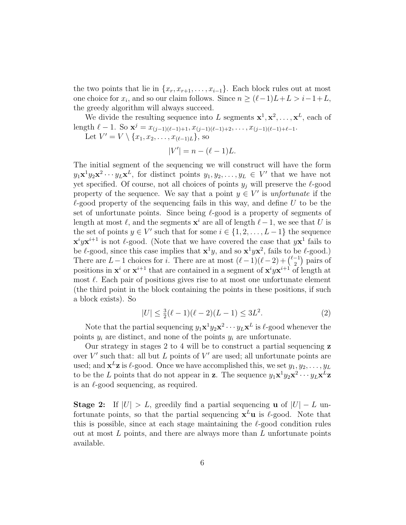the two points that lie in  $\{x_r, x_{r+1}, \ldots, x_{i-1}\}$ . Each block rules out at most one choice for  $x_i$ , and so our claim follows. Since  $n \ge (\ell-1)L+L > i-1+L$ , the greedy algorithm will always succeed.

We divide the resulting sequence into L segments  $x^1, x^2, \ldots, x^L$ , each of length  $\ell - 1$ . So  $\mathbf{x}^j = x_{(j-1)(\ell-1)+1}, x_{(j-1)(\ell-1)+2}, \ldots, x_{(j-1)(\ell-1)+\ell-1}$ .

Let  $V' = V \setminus \{x_1, x_2, \ldots, x_{(\ell-1)L}\},$  so

$$
|V'| = n - (\ell - 1)L.
$$

The initial segment of the sequencing we will construct will have the form  $y_1\mathbf{x}^1y_2\mathbf{x}^2\cdots y_L\mathbf{x}^L$ , for distinct points  $y_1, y_2, \ldots, y_L \in V'$  that we have not yet specified. Of course, not all choices of points  $y_j$  will preserve the  $\ell$ -good property of the sequence. We say that a point  $y \in V'$  is unfortunate if the  $\ell$ -good property of the sequencing fails in this way, and define U to be the set of unfortunate points. Since being  $\ell$ -good is a property of segments of length at most  $\ell$ , and the segments  $\mathbf{x}^i$  are all of length  $\ell-1$ , we see that U is the set of points  $y \in V'$  such that for some  $i \in \{1, 2, \ldots, L-1\}$  the sequence  $\mathbf{x}^i y \mathbf{x}^{i+1}$  is not  $\ell$ -good. (Note that we have covered the case that  $y \mathbf{x}^1$  fails to be  $\ell$ -good, since this case implies that  $\mathbf{x}^1 y$ , and so  $\mathbf{x}^1 y \mathbf{x}^2$ , fails to be  $\ell$ -good.) There are  $L-1$  choices for i. There are at most  $(\ell-1)(\ell-2) + {\ell-1 \choose 2}$  $\binom{-1}{2}$  pairs of positions in  $\mathbf{x}^i$  or  $\mathbf{x}^{i+1}$  that are contained in a segment of  $\mathbf{x}^i y \mathbf{x}^{i+1}$  of length at most  $\ell$ . Each pair of positions gives rise to at most one unfortunate element (the third point in the block containing the points in these positions, if such a block exists). So

$$
|U| \le \frac{3}{2}(\ell - 1)(\ell - 2)(L - 1) \le 3L^2.
$$
 (2)

Note that the partial sequencing  $y_1 \mathbf{x}^1 y_2 \mathbf{x}^2 \cdots y_L \mathbf{x}^L$  is  $\ell$ -good whenever the points  $y_i$  are distinct, and none of the points  $y_i$  are unfortunate.

Our strategy in stages 2 to 4 will be to construct a partial sequencing z over  $V'$  such that: all but  $L$  points of  $V'$  are used; all unfortunate points are used; and  $\mathbf{x}^L \mathbf{z}$  is  $\ell$ -good. Once we have accomplished this, we set  $y_1, y_2, \ldots, y_L$ to be the L points that do not appear in **z**. The sequence  $y_1 \mathbf{x}^1 y_2 \mathbf{x}^2 \cdots y_L \mathbf{x}^L \mathbf{z}$ is an  $\ell$ -good sequencing, as required.

**Stage 2:** If  $|U| > L$ , greedily find a partial sequencing **u** of  $|U| - L$  unfortunate points, so that the partial sequencing  $x^L u$  is  $\ell$ -good. Note that this is possible, since at each stage maintaining the  $\ell$ -good condition rules out at most  $L$  points, and there are always more than  $L$  unfortunate points available.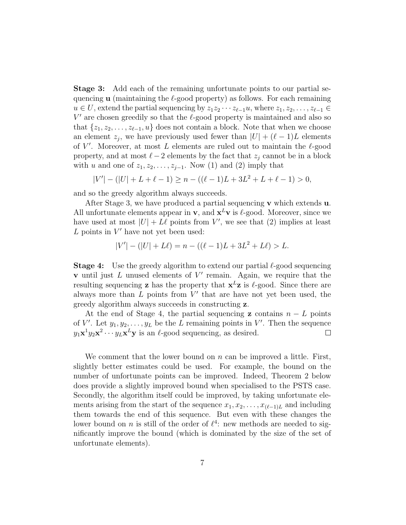Stage 3: Add each of the remaining unfortunate points to our partial sequencing **u** (maintaining the  $\ell$ -good property) as follows. For each remaining  $u \in U$ , extend the partial sequencing by  $z_1z_2 \cdots z_{\ell-1}u$ , where  $z_1, z_2, \ldots, z_{\ell-1} \in$  $V'$  are chosen greedily so that the  $\ell$ -good property is maintained and also so that  $\{z_1, z_2, \ldots, z_{\ell-1}, u\}$  does not contain a block. Note that when we choose an element  $z_j$ , we have previously used fewer than  $|U| + (\ell - 1)L$  elements of  $V'$ . Moreover, at most L elements are ruled out to maintain the  $\ell$ -good property, and at most  $\ell-2$  elements by the fact that  $z_j$  cannot be in a block with u and one of  $z_1, z_2, \ldots, z_{j-1}$ . Now (1) and (2) imply that

$$
|V'| - (|U| + L + \ell - 1) \ge n - ((\ell - 1)L + 3L^2 + L + \ell - 1) > 0,
$$

and so the greedy algorithm always succeeds.

After Stage 3, we have produced a partial sequencing  $\bf{v}$  which extends  $\bf{u}$ . All unfortunate elements appear in  $\mathbf{v}$ , and  $\mathbf{x}^{L}\mathbf{v}$  is  $\ell$ -good. Moreover, since we have used at most  $|U| + L\ell$  points from V', we see that (2) implies at least  $L$  points in  $V'$  have not yet been used:

$$
|V'| - (|U| + L\ell) = n - ((\ell - 1)L + 3L^2 + L\ell) > L.
$$

**Stage 4:** Use the greedy algorithm to extend our partial  $\ell$ -good sequencing **v** until just  $L$  unused elements of  $V'$  remain. Again, we require that the resulting sequencing **z** has the property that  $x^L z$  is  $\ell$ -good. Since there are always more than  $L$  points from  $V'$  that are have not yet been used, the greedy algorithm always succeeds in constructing z.

At the end of Stage 4, the partial sequencing **z** contains  $n - L$  points of V'. Let  $y_1, y_2, \ldots, y_L$  be the L remaining points in V'. Then the sequence  $y_1 \mathbf{x}^1 y_2 \mathbf{x}^2 \cdots y_L \mathbf{x}^L \mathbf{y}$  is an  $\ell$ -good sequencing, as desired.  $\Box$ 

We comment that the lower bound on  $n$  can be improved a little. First, slightly better estimates could be used. For example, the bound on the number of unfortunate points can be improved. Indeed, Theorem 2 below does provide a slightly improved bound when specialised to the PSTS case. Secondly, the algorithm itself could be improved, by taking unfortunate elements arising from the start of the sequence  $x_1, x_2, \ldots, x_{(\ell-1)L}$  and including them towards the end of this sequence. But even with these changes the lower bound on *n* is still of the order of  $\ell^4$ : new methods are needed to significantly improve the bound (which is dominated by the size of the set of unfortunate elements).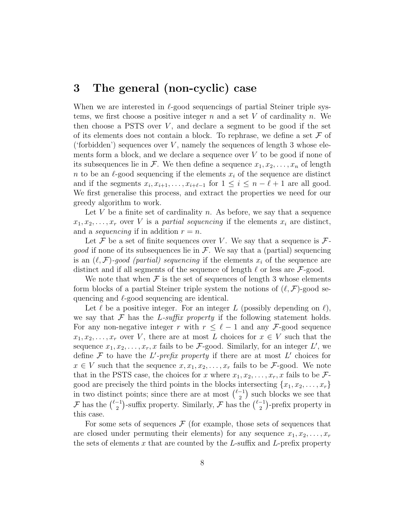## 3 The general (non-cyclic) case

When we are interested in  $\ell$ -good sequencings of partial Steiner triple systems, we first choose a positive integer  $n$  and a set  $V$  of cardinality  $n$ . We then choose a PSTS over  $V$ , and declare a segment to be good if the set of its elements does not contain a block. To rephrase, we define a set  $\mathcal F$  of ('forbidden') sequences over  $V$ , namely the sequences of length 3 whose elements form a block, and we declare a sequence over  $V$  to be good if none of its subsequences lie in F. We then define a sequence  $x_1, x_2, \ldots, x_n$  of length n to be an  $\ell$ -good sequencing if the elements  $x_i$  of the sequence are distinct and if the segments  $x_i, x_{i+1}, \ldots, x_{i+\ell-1}$  for  $1 \leq i \leq n-\ell+1$  are all good. We first generalise this process, and extract the properties we need for our greedy algorithm to work.

Let V be a finite set of cardinality n. As before, we say that a sequence  $x_1, x_2, \ldots, x_r$  over V is a partial sequencing if the elements  $x_i$  are distinct, and a *sequencing* if in addition  $r = n$ .

Let F be a set of finite sequences over V. We say that a sequence is  $\mathcal{F}$ *good* if none of its subsequences lie in  $\mathcal{F}$ . We say that a (partial) sequencing is an  $(\ell, \mathcal{F})$ -good (partial) sequencing if the elements  $x_i$  of the sequence are distinct and if all segments of the sequence of length  $\ell$  or less are  $\mathcal{F}\text{-good}$ .

We note that when  $\mathcal F$  is the set of sequences of length 3 whose elements form blocks of a partial Steiner triple system the notions of  $(\ell, \mathcal{F})$ -good sequencing and  $\ell$ -good sequencing are identical.

Let  $\ell$  be a positive integer. For an integer L (possibly depending on  $\ell$ ), we say that  $\mathcal F$  has the L-suffix property if the following statement holds. For any non-negative integer r with  $r \leq \ell - 1$  and any F-good sequence  $x_1, x_2, \ldots, x_r$  over V, there are at most L choices for  $x \in V$  such that the sequence  $x_1, x_2, \ldots, x_r, x$  fails to be F-good. Similarly, for an integer L', we define  $\mathcal F$  to have the L'-prefix property if there are at most L' choices for  $x \in V$  such that the sequence  $x, x_1, x_2, \ldots, x_r$  fails to be F-good. We note that in the PSTS case, the choices for x where  $x_1, x_2, \ldots, x_r, x$  fails to be  $\mathcal{F}$ good are precisely the third points in the blocks intersecting  $\{x_1, x_2, \ldots, x_r\}$ in two distinct points; since there are at most  $\binom{\ell-1}{2}$  $\binom{-1}{2}$  such blocks we see that  $\mathcal{F}$  has the  $\binom{\ell-1}{2}$  $\binom{-1}{2}$ -suffix property. Similarly,  $\mathcal{F}$  has the  $\binom{\ell-1}{2}$  $\binom{-1}{2}$ -prefix property in this case.

For some sets of sequences  $\mathcal F$  (for example, those sets of sequences that are closed under permuting their elements) for any sequence  $x_1, x_2, \ldots, x_r$ the sets of elements x that are counted by the  $L$ -suffix and  $L$ -prefix property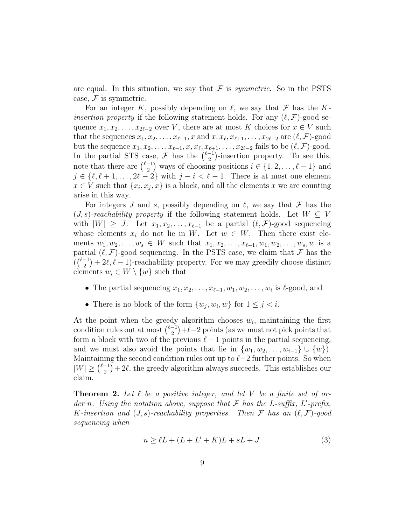are equal. In this situation, we say that  $\mathcal F$  is *symmetric*. So in the PSTS case,  $\mathcal F$  is symmetric.

For an integer K, possibly depending on  $\ell$ , we say that F has the K*insertion property* if the following statement holds. For any  $(\ell, \mathcal{F})$ -good sequence  $x_1, x_2, \ldots, x_{2\ell-2}$  over V, there are at most K choices for  $x \in V$  such that the sequences  $x_1, x_2, \ldots, x_{\ell-1}, x$  and  $x, x_{\ell}, x_{\ell+1}, \ldots, x_{2\ell-2}$  are  $(\ell, \mathcal{F})$ -good but the sequence  $x_1, x_2, \ldots, x_{\ell-1}, x, x_{\ell}, x_{\ell+1}, \ldots, x_{2\ell-2}$  fails to be  $(\ell, \mathcal{F})$ -good. In the partial STS case,  $\mathcal F$  has the  $\binom{\ell-1}{2}$  $\binom{-1}{2}$ -insertion property. To see this, note that there are  $\binom{\ell-1}{2}$  $\binom{-1}{2}$  ways of choosing positions  $i \in \{1, 2, \ldots, \ell - 1\}$  and  $j \in \{\ell, \ell + 1, \ldots, 2\ell - 2\}$  with  $j - i < \ell - 1$ . There is at most one element  $x \in V$  such that  $\{x_i, x_j, x\}$  is a block, and all the elements x we are counting arise in this way.

For integers J and s, possibly depending on  $\ell$ , we say that  $\mathcal F$  has the  $(J, s)$ -reachability property if the following statement holds. Let  $W \subseteq V$ with  $|W| \geq J$ . Let  $x_1, x_2, \ldots, x_{\ell-1}$  be a partial  $(\ell, \mathcal{F})$ -good sequencing whose elements  $x_i$  do not lie in W. Let  $w \in W$ . Then there exist elements  $w_1, w_2, \ldots, w_s \in W$  such that  $x_1, x_2, \ldots, x_{\ell-1}, w_1, w_2, \ldots, w_s, w$  is a partial  $(\ell, \mathcal{F})$ -good sequencing. In the PSTS case, we claim that  $\mathcal F$  has the  $\binom{\ell-1}{2}$  $\binom{-1}{2} + 2\ell, \ell - 1$ )-reachability property. For we may greedily choose distinct elements  $w_i \in W \setminus \{w\}$  such that

- The partial sequencing  $x_1, x_2, \ldots, x_{\ell-1}, w_1, w_2, \ldots, w_i$  is  $\ell$ -good, and
- There is no block of the form  $\{w_j, w_i, w\}$  for  $1 \leq j < i$ .

At the point when the greedy algorithm chooses  $w_i$ , maintaining the first condition rules out at most  $\binom{\ell-1}{2}$  $\binom{-1}{2} + \ell - 2$  points (as we must not pick points that form a block with two of the previous  $\ell - 1$  points in the partial sequencing, and we must also avoid the points that lie in  $\{w_1, w_2, \ldots, w_{i-1}\} \cup \{w\}$ . Maintaining the second condition rules out up to  $\ell-2$  further points. So when  $|W| \geq {\ell-1 \choose 2}$  $\binom{-1}{2} + 2\ell$ , the greedy algorithm always succeeds. This establishes our claim.

**Theorem 2.** Let  $\ell$  be a positive integer, and let V be a finite set of order n. Using the notation above, suppose that  $\mathcal F$  has the L-suffix, L'-prefix, K-insertion and  $(J, s)$ -reachability properties. Then F has an  $(\ell, \mathcal{F})$ -good sequencing when

$$
n \ge \ell L + (L + L' + K)L + sL + J. \tag{3}
$$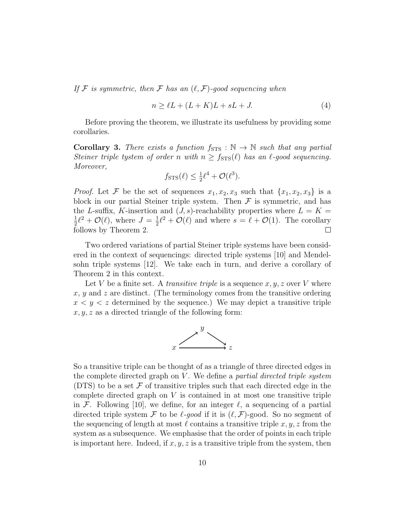If F is symmetric, then F has an  $(\ell, \mathcal{F})$ -good sequencing when

$$
n \ge \ell L + (L + K)L + sL + J. \tag{4}
$$

Before proving the theorem, we illustrate its usefulness by providing some corollaries.

**Corollary 3.** There exists a function  $f_{\text{STS}} : \mathbb{N} \to \mathbb{N}$  such that any partial Steiner triple tystem of order n with  $n \geq f_{\text{STS}}(\ell)$  has an  $\ell$ -good sequencing. Moreover,

$$
f_{\text{STS}}(\ell) \le \frac{1}{2}\ell^4 + \mathcal{O}(\ell^3).
$$

*Proof.* Let F be the set of sequences  $x_1, x_2, x_3$  such that  $\{x_1, x_2, x_3\}$  is a block in our partial Steiner triple system. Then  $\mathcal F$  is symmetric, and has the L-suffix, K-insertion and  $(J, s)$ -reachability properties where  $L = K =$ 1  $\frac{1}{2}\ell^2 + \mathcal{O}(\ell)$ , where  $J = \frac{1}{2}$  $\frac{1}{2}\ell^2 + \mathcal{O}(\ell)$  and where  $s = \ell + \mathcal{O}(1)$ . The corollary follows by Theorem 2.  $\Box$ 

Two ordered variations of partial Steiner triple systems have been considered in the context of sequencings: directed triple systems [10] and Mendelsohn triple systems [12]. We take each in turn, and derive a corollary of Theorem 2 in this context.

Let V be a finite set. A *transitive triple* is a sequence  $x, y, z$  over V where  $x, y$  and z are distinct. (The terminology comes from the transitive ordering  $x < y < z$  determined by the sequence.) We may depict a transitive triple  $x, y, z$  as a directed triangle of the following form:



So a transitive triple can be thought of as a triangle of three directed edges in the complete directed graph on  $V$ . We define a *partial directed triple system* (DTS) to be a set  $\mathcal F$  of transitive triples such that each directed edge in the complete directed graph on  $V$  is contained in at most one transitive triple in F. Following [10], we define, for an integer  $\ell$ , a sequencing of a partial directed triple system F to be  $\ell$ -good if it is  $(\ell, \mathcal{F})$ -good. So no segment of the sequencing of length at most  $\ell$  contains a transitive triple x, y, z from the system as a subsequence. We emphasise that the order of points in each triple is important here. Indeed, if  $x, y, z$  is a transitive triple from the system, then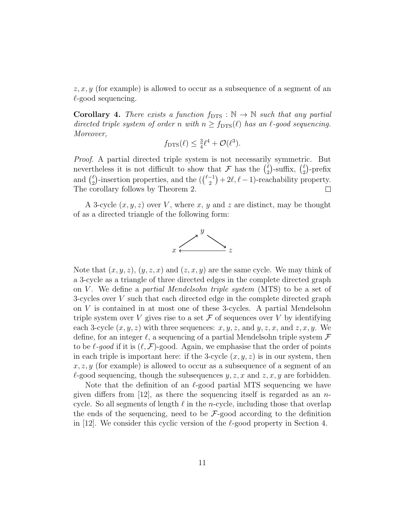$z, x, y$  (for example) is allowed to occur as a subsequence of a segment of an  $\ell$ -good sequencing.

**Corollary 4.** There exists a function  $f_{\text{DTS}} : \mathbb{N} \to \mathbb{N}$  such that any partial directed triple system of order n with  $n \ge f_{\text{DTS}}(\ell)$  has an  $\ell$ -good sequencing. Moreover,

$$
f_{\text{DTS}}(\ell) \leq \frac{3}{4}\ell^4 + \mathcal{O}(\ell^3).
$$

Proof. A partial directed triple system is not necessarily symmetric. But nevertheless it is not difficult to show that F has the  $\binom{\ell}{2}$  $\binom{\ell}{2}$ -suffix,  $\binom{\ell}{2}$  $2^{\ell}$ )-prefix and  $\binom{\ell}{2}$  $\binom{\ell}{2}$ -insertion properties, and the  $\left(\binom{\ell-1}{2}\right)$  $\binom{-1}{2} + 2\ell, \ell - 1$ )-reachability property. The corollary follows by Theorem 2.

A 3-cycle  $(x, y, z)$  over V, where x, y and z are distinct, may be thought of as a directed triangle of the following form:



Note that  $(x, y, z)$ ,  $(y, z, x)$  and  $(z, x, y)$  are the same cycle. We may think of a 3-cycle as a triangle of three directed edges in the complete directed graph on V. We define a *partial Mendelsohn triple system* (MTS) to be a set of 3-cycles over V such that each directed edge in the complete directed graph on V is contained in at most one of these 3-cycles. A partial Mendelsohn triple system over V gives rise to a set  $\mathcal F$  of sequences over V by identifying each 3-cycle  $(x, y, z)$  with three sequences:  $x, y, z$ , and  $y, z, x$ , and  $z, x, y$ . We define, for an integer  $\ell$ , a sequencing of a partial Mendelsohn triple system  $\mathcal F$ to be  $\ell$ -good if it is  $(\ell, \mathcal{F})$ -good. Again, we emphasise that the order of points in each triple is important here: if the 3-cycle  $(x, y, z)$  is in our system, then  $x, z, y$  (for example) is allowed to occur as a subsequence of a segment of an  $\ell$ -good sequencing, though the subsequences y, z, x and z, x, y are forbidden.

Note that the definition of an  $\ell$ -good partial MTS sequencing we have given differs from [12], as there the sequencing itself is regarded as an  $n$ cycle. So all segments of length  $\ell$  in the *n*-cycle, including those that overlap the ends of the sequencing, need to be  $\mathcal{F}\text{-good according to the definition}$ in [12]. We consider this cyclic version of the  $\ell$ -good property in Section 4.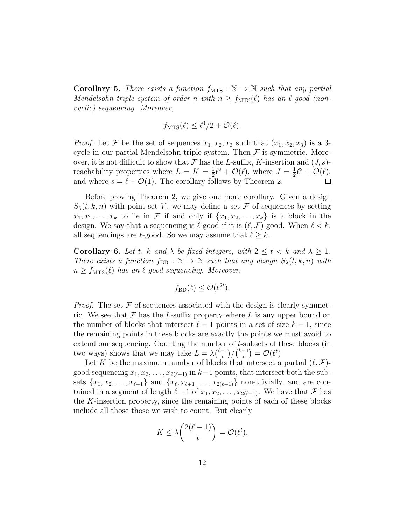**Corollary 5.** There exists a function  $f_{\text{MTS}} : \mathbb{N} \to \mathbb{N}$  such that any partial Mendelsohn triple system of order n with  $n \ge f_{\text{MTS}}(\ell)$  has an  $\ell$ -good (noncyclic) sequencing. Moreover,

$$
f_{\text{MTS}}(\ell) \leq \ell^4/2 + \mathcal{O}(\ell).
$$

*Proof.* Let F be the set of sequences  $x_1, x_2, x_3$  such that  $(x_1, x_2, x_3)$  is a 3cycle in our partial Mendelsohn triple system. Then  $\mathcal F$  is symmetric. Moreover, it is not difficult to show that F has the L-suffix, K-insertion and  $(J, s)$ reachability properties where  $L = K = \frac{1}{2}$  $\frac{1}{2}\ell^2 + \mathcal{O}(\ell)$ , where  $J = \frac{1}{2}$  $\frac{1}{2}\ell^2 + \mathcal{O}(\ell),$ and where  $s = \ell + \mathcal{O}(1)$ . The corollary follows by Theorem 2.  $\Box$ 

Before proving Theorem 2, we give one more corollary. Given a design  $S_{\lambda}(t, k, n)$  with point set V, we may define a set F of sequences by setting  $x_1, x_2, \ldots, x_k$  to lie in F if and only if  $\{x_1, x_2, \ldots, x_k\}$  is a block in the design. We say that a sequencing is  $\ell$ -good if it is  $(\ell, \mathcal{F})$ -good. When  $\ell < k$ , all sequencings are  $\ell$ -good. So we may assume that  $\ell \geq k$ .

**Corollary 6.** Let t, k and  $\lambda$  be fixed integers, with  $2 \le t \le k$  and  $\lambda \ge 1$ . There exists a function  $f_{BD} : \mathbb{N} \to \mathbb{N}$  such that any design  $S_{\lambda}(t, k, n)$  with  $n \ge f_{\text{MTS}}(\ell)$  has an  $\ell$ -good sequencing. Moreover,

$$
f_{\text{BD}}(\ell) \leq \mathcal{O}(\ell^{2t}).
$$

*Proof.* The set  $\mathcal F$  of sequences associated with the design is clearly symmetric. We see that  $\mathcal F$  has the L-suffix property where L is any upper bound on the number of blocks that intersect  $\ell - 1$  points in a set of size  $k - 1$ , since the remaining points in these blocks are exactly the points we must avoid to extend our sequencing. Counting the number of t-subsets of these blocks (in two ways) shows that we may take  $L = \lambda \binom{\ell-1}{t}$  $\binom{-1}{t}/\binom{k-1}{t}$  $\begin{aligned} \binom{-1}{t} = \mathcal{O}(\ell^t). \end{aligned}$ 

Let K be the maximum number of blocks that intersect a partial  $(\ell, \mathcal{F})$ good sequencing  $x_1, x_2, \ldots, x_{2(\ell-1)}$  in  $k-1$  points, that intersect both the subsets  $\{x_1, x_2, \ldots, x_{\ell-1}\}\$  and  $\{x_{\ell}, x_{\ell+1}, \ldots, x_{2(\ell-1)}\}\$  non-trivially, and are contained in a segment of length  $\ell - 1$  of  $x_1, x_2, \ldots, x_{2(\ell-1)}$ . We have that F has the K-insertion property, since the remaining points of each of these blocks include all those those we wish to count. But clearly

$$
K \le \lambda \binom{2(\ell-1)}{t} = \mathcal{O}(\ell^t),
$$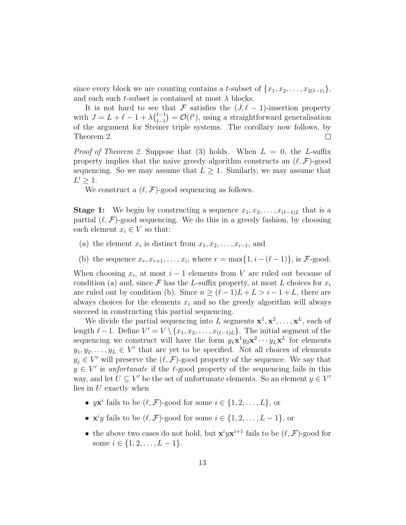since every block we are counting contains a t-subset of  $\{x_1, x_2, \ldots, x_{2(\ell-1)}\},\$ and each such t-subset is contained at most  $\lambda$  blocks.

It is not hard to see that F satisfies the  $(J, \ell - 1)$ -insertion property with  $J = L + \ell - 1 + \lambda \binom{\ell - 1}{t-1}$  $t_{t-1}^{(-1)} = \mathcal{O}(\ell^t)$ , using a straightforward generalisation of the argument for Steiner triple systems. The corollary now follows, by Theorem 2.  $\Box$ 

*Proof of Theorem 2.* Suppose that (3) holds. When  $L = 0$ , the L-suffix property implies that the naive greedy algorithm constructs an  $(\ell, \mathcal{F})$ -good sequencing. So we may assume that  $L \geq 1$ . Similarly, we may assume that  $L' \geq 1$ .

We construct a  $(\ell, \mathcal{F})$ -good sequencing as follows.

**Stage 1:** We begin by constructing a sequence  $x_1, x_2, \ldots, x_{(\ell-1)L}$  that is a partial  $(\ell, \mathcal{F})$ -good sequencing. We do this in a greedy fashion, by choosing each element  $x_i \in V$  so that:

- (a) the element  $x_i$  is distinct from  $x_1, x_2, \ldots, x_{i-1}$ , and
- (b) the sequence  $x_r, x_{r+1}, \ldots, x_i$ , where  $r = \max\{1, i (\ell 1)\}\)$ , is F-good.

When choosing  $x_i$ , at most  $i-1$  elements from V are ruled out because of condition (a) and, since  $\mathcal F$  has the L-suffix property, at most L choices for  $x_i$ are ruled out by condition (b). Since  $n \geq (\ell - 1)L + L > i - 1 + L$ , there are always choices for the elements  $x_i$  and so the greedy algorithm will always succeed in constructing this partial sequencing.

We divide the partial sequencing into L segments  $x^1, x^2, \ldots, x^L$ , each of length  $\ell - 1$ . Define  $V' = V \setminus \{x_1, x_2, \ldots, x_{(\ell-1)L}\}.$  The initial segment of the sequencing we construct will have the form  $y_1 \mathbf{x}^1 y_2 \mathbf{x}^2 \cdots y_L \mathbf{x}^L$  for elements  $y_1, y_2, \ldots, y_L \in V'$  that are yet to be specified. Not all choices of elements  $y_j \in V'$  will preserve the  $(\ell, \mathcal{F})$ -good property of the sequence. We say that  $y \in V'$  is *unfortunate* if the  $\ell$ -good property of the sequencing fails in this way, and let  $U \subseteq V'$  be the set of unfortunate elements. So an element  $y \in V'$ lies in U exactly when

- $y\mathbf{x}^i$  fails to be  $(\ell, \mathcal{F})$ -good for some  $i \in \{1, 2, ..., L\}$ , or
- $\mathbf{x}^i y$  fails to be  $(\ell, \mathcal{F})$ -good for some  $i \in \{1, 2, ..., L-1\}$ , or
- the above two cases do not hold, but  $\mathbf{x}^i y \mathbf{x}^{i+1}$  fails to be  $(\ell, \mathcal{F})$ -good for some  $i \in \{1, 2, \ldots, L-1\}.$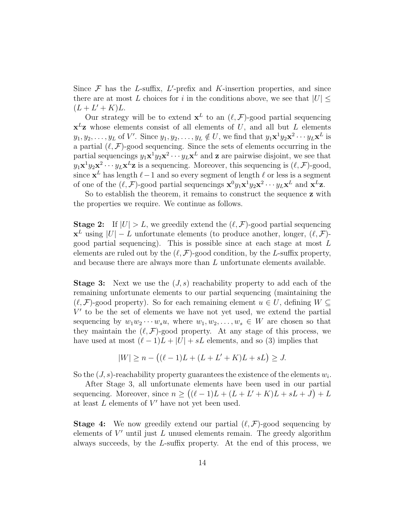Since  $\mathcal F$  has the *L*-suffix, *L'*-prefix and *K*-insertion properties, and since there are at most L choices for i in the conditions above, we see that  $|U| \leq$  $(L + L' + K)L$ .

Our strategy will be to extend  $\mathbf{x}^L$  to an  $(\ell, \mathcal{F})$ -good partial sequencing  $x^L$ **z** whose elements consist of all elements of U, and all but L elements  $y_1, y_2, \ldots, y_L$  of V'. Since  $y_1, y_2, \ldots, y_L \notin U$ , we find that  $y_1 \mathbf{x}^1 y_2 \mathbf{x}^2 \cdots y_L \mathbf{x}^L$  is a partial  $(\ell, \mathcal{F})$ -good sequencing. Since the sets of elements occurring in the partial sequencings  $y_1 \mathbf{x}^1 y_2 \mathbf{x}^2 \cdots y_L \mathbf{x}^L$  and **z** are pairwise disjoint, we see that  $y_1 \mathbf{x}^1 y_2 \mathbf{x}^2 \cdots y_L \mathbf{x}^L \mathbf{z}$  is a sequencing. Moreover, this sequencing is  $(\ell, \mathcal{F})$ -good, since  $\mathbf{x}^L$  has length  $\ell-1$  and so every segment of length  $\ell$  or less is a segment of one of the  $(\ell, \mathcal{F})$ -good partial sequencings  $\mathbf{x}^0 y_1 \mathbf{x}^1 y_2 \mathbf{x}^2 \cdots y_L \mathbf{x}^L$  and  $\mathbf{x}^L \mathbf{z}$ .

So to establish the theorem, it remains to construct the sequence z with the properties we require. We continue as follows.

**Stage 2:** If  $|U| > L$ , we greedily extend the  $(\ell, \mathcal{F})$ -good partial sequencing  $\mathbf{x}^L$  using  $|U| - L$  unfortunate elements (to produce another, longer,  $(\ell, \mathcal{F})$ good partial sequencing). This is possible since at each stage at most L elements are ruled out by the  $(\ell, \mathcal{F})$ -good condition, by the L-suffix property, and because there are always more than L unfortunate elements available.

**Stage 3:** Next we use the  $(J, s)$  reachability property to add each of the remaining unfortunate elements to our partial sequencing (maintaining the  $(\ell, \mathcal{F})$ -good property). So for each remaining element  $u \in U$ , defining  $W \subseteq$  $V'$  to be the set of elements we have not yet used, we extend the partial sequencing by  $w_1w_2\cdots w_su$ , where  $w_1, w_2, \ldots, w_s \in W$  are chosen so that they maintain the  $(\ell, \mathcal{F})$ -good property. At any stage of this process, we have used at most  $(\ell - 1)L + |U| + sL$  elements, and so (3) implies that

$$
|W| \ge n - ((\ell - 1)L + (L + L' + K)L + sL) \ge J.
$$

So the  $(J, s)$ -reachability property guarantees the existence of the elements  $w_i$ .

After Stage 3, all unfortunate elements have been used in our partial sequencing. Moreover, since  $n \ge ((\ell - 1)L + (L + L' + K)L + sL + J) + L$ at least  $L$  elements of  $V'$  have not yet been used.

**Stage 4:** We now greedily extend our partial  $(\ell, \mathcal{F})$ -good sequencing by elements of  $V'$  until just  $L$  unused elements remain. The greedy algorithm always succeeds, by the L-suffix property. At the end of this process, we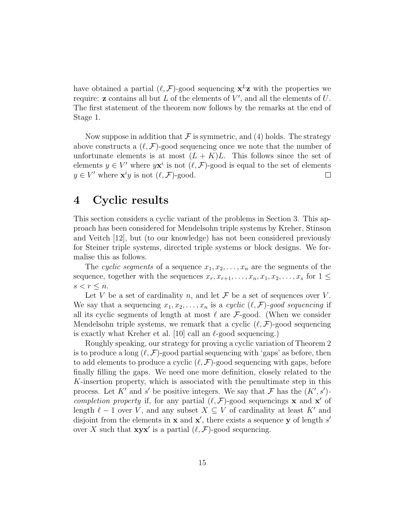have obtained a partial  $(\ell, \mathcal{F})$ -good sequencing  $\mathbf{x}^L \mathbf{z}$  with the properties we require:  $\mathbf{z}$  contains all but  $L$  of the elements of  $V'$ , and all the elements of  $U$ . The first statement of the theorem now follows by the remarks at the end of Stage 1.

Now suppose in addition that  $\mathcal F$  is symmetric, and (4) holds. The strategy above constructs a  $(\ell, \mathcal{F})$ -good sequencing once we note that the number of unfortunate elements is at most  $(L + K)L$ . This follows since the set of elements  $y \in V'$  where  $y\mathbf{x}^i$  is not  $(\ell, \mathcal{F})$ -good is equal to the set of elements  $y \in V'$  where  $\mathbf{x}^i y$  is not  $(\ell, \mathcal{F})$ -good.  $\Box$ 

## 4 Cyclic results

This section considers a cyclic variant of the problems in Section 3. This approach has been considered for Mendelsohn triple systems by Kreher, Stinson and Veitch [12], but (to our knowledge) has not been considered previously for Steiner triple systems, directed triple systems or block designs. We formalise this as follows.

The cyclic segments of a sequence  $x_1, x_2, \ldots, x_n$  are the segments of the sequence, together with the sequences  $x_r, x_{r+1}, \ldots, x_n, x_1, x_2, \ldots, x_s$  for  $1 \leq$  $s < r \leq n$ .

Let V be a set of cardinality n, and let  $\mathcal F$  be a set of sequences over V. We say that a sequencing  $x_1, x_2, \ldots, x_n$  is a cyclic  $(\ell, \mathcal{F})$ -good sequencing if all its cyclic segments of length at most  $\ell$  are  $\mathcal{F}\text{-good.}$  (When we consider Mendelsohn triple systems, we remark that a cyclic  $(\ell, \mathcal{F})$ -good sequencing is exactly what Kreher et al. [10] call an  $\ell$ -good sequencing.)

Roughly speaking, our strategy for proving a cyclic variation of Theorem 2 is to produce a long  $(\ell, \mathcal{F})$ -good partial sequencing with 'gaps' as before, then to add elements to produce a cyclic  $(\ell, \mathcal{F})$ -good sequencing with gaps, before finally filling the gaps. We need one more definition, closely related to the K-insertion property, which is associated with the penultimate step in this process. Let K' and s' be positive integers. We say that F has the  $(K', s')$ completion property if, for any partial  $(\ell, \mathcal{F})$ -good sequencings x and x' of length  $\ell - 1$  over V, and any subset  $X \subseteq V$  of cardinality at least K' and disjoint from the elements in  $x$  and  $x'$ , there exists a sequence y of length s' over X such that  $xyx'$  is a partial  $(\ell, \mathcal{F})$ -good sequencing.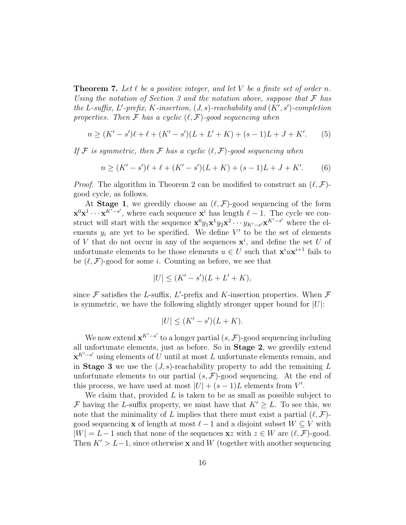**Theorem 7.** Let  $\ell$  be a positive integer, and let V be a finite set of order n. Using the notation of Section 3 and the notation above, suppose that  $\mathcal F$  has the L-suffix, L'-prefix, K-insertion,  $(J, s)$ -reachability and  $(K', s')$ -completion properties. Then  $\mathcal F$  has a cyclic  $(\ell, \mathcal F)$ -good sequencing when

$$
n \ge (K' - s')\ell + \ell + (K' - s')(L + L' + K) + (s - 1)L + J + K'. \tag{5}
$$

If F is symmetric, then F has a cyclic  $(\ell, \mathcal{F})$ -good sequencing when

$$
n \ge (K' - s')\ell + \ell + (K' - s')(L + K) + (s - 1)L + J + K'. \tag{6}
$$

*Proof.* The algorithm in Theorem 2 can be modified to construct an  $(\ell, \mathcal{F})$ good cycle, as follows.

At **Stage 1**, we greedily choose an  $(\ell, \mathcal{F})$ -good sequencing of the form  $\mathbf{x}^0\mathbf{x}^1 \cdots \mathbf{x}^{K^T-s'}$ , where each sequence  $\mathbf{x}^i$  has length  $\ell-1$ . The cycle we construct will start with the sequence  ${\bf x}^0 y_1 {\bf x}^1 y_2 {\bf x}^2 \cdots y_{K'-s'} {\bf x}^{K'-s'}$  where the elements  $y_i$  are yet to be specified. We define  $V'$  to be the set of elements of V that do not occur in any of the sequences  $\mathbf{x}^i$ , and define the set U of unfortunate elements to be those elements  $u \in U$  such that  $\mathbf{x}^i u \mathbf{x}^{i+1}$  fails to be  $(\ell, \mathcal{F})$ -good for some i. Counting as before, we see that

$$
|U| \le (K' - s')(L + L' + K),
$$

since  $\mathcal F$  satisfies the L-suffix, L'-prefix and K-insertion properties. When  $\mathcal F$ is symmetric, we have the following slightly stronger upper bound for  $|U|$ :

$$
|U| \le (K' - s')(L + K).
$$

We now extend  $\mathbf{x}^{K'-s'}$  to a longer partial  $(s, \mathcal{F})$ -good sequencing including all unfortunate elements, just as before. So in Stage 2, we greedily extend  $\mathbf{x}^{K'-s'}$  using elements of U until at most L unfortunate elements remain, and in Stage 3 we use the  $(J, s)$ -reachability property to add the remaining L unfortunate elements to our partial  $(s, \mathcal{F})$ -good sequencing. At the end of this process, we have used at most  $|U| + (s-1)L$  elements from V'.

We claim that, provided  $L$  is taken to be as small as possible subject to F having the L-suffix property, we must have that  $K' \geq L$ . To see this, we note that the minimality of L implies that there must exist a partial  $(\ell, \mathcal{F})$ good sequencing **x** of length at most  $\ell - 1$  and a disjoint subset  $W \subseteq V$  with  $|W| = L - 1$  such that none of the sequences  $xz$  with  $z \in W$  are  $(\ell, \mathcal{F})$ -good. Then  $K' > L-1$ , since otherwise **x** and W (together with another sequencing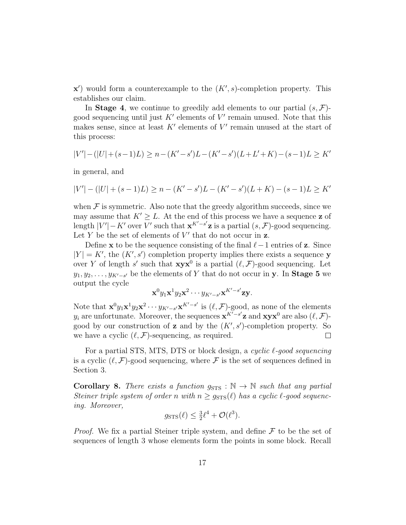$\mathbf{x}'$ ) would form a counterexample to the  $(K', s)$ -completion property. This establishes our claim.

In **Stage 4**, we continue to greedily add elements to our partial  $(s, \mathcal{F})$ good sequencing until just  $K'$  elements of  $V'$  remain unused. Note that this makes sense, since at least  $K'$  elements of  $V'$  remain unused at the start of this process:

$$
|V'| - (|U| + (s-1)L) \ge n - (K' - s')L - (K' - s')(L + L' + K) - (s-1)L \ge K'
$$

in general, and

$$
|V'| - (|U| + (s - 1)L) \ge n - (K' - s')L - (K' - s')(L + K) - (s - 1)L \ge K'
$$

when  $\mathcal F$  is symmetric. Also note that the greedy algorithm succeeds, since we may assume that  $K' \geq L$ . At the end of this process we have a sequence z of length  $|V'| - K'$  over V' such that  $\mathbf{x}^{K'-s'}\mathbf{z}$  is a partial  $(s, \mathcal{F})$ -good sequencing. Let Y be the set of elements of  $V'$  that do not occur in z.

Define x to be the sequence consisting of the final  $\ell-1$  entries of z. Since  $|Y| = K'$ , the  $(K', s')$  completion property implies there exists a sequence y over Y of length s' such that  $xyx^0$  is a partial  $(\ell, \mathcal{F})$ -good sequencing. Let  $y_1, y_2, \ldots, y_{K'-s'}$  be the elements of Y that do not occur in **y**. In **Stage 5** we output the cycle

$$
\mathbf{x}^0 y_1 \mathbf{x}^1 y_2 \mathbf{x}^2 \cdots y_{K'-s'} \mathbf{x}^{K'-s'} \mathbf{z} \mathbf{y}.
$$

Note that  $\mathbf{x}^0 y_1 \mathbf{x}^1 y_2 \mathbf{x}^2 \cdots y_{K'-s'} \mathbf{x}^{K'-s'}$  is  $(\ell, \mathcal{F})$ -good, as none of the elements  $y_i$  are unfortunate. Moreover, the sequences  $\mathbf{x}^{K^{\prime}-s^{\prime}}\mathbf{z}$  and  $\mathbf{x}\mathbf{y}\mathbf{x}^{0}$  are also  $(\ell, \mathcal{F})$ good by our construction of **z** and by the  $(K', s')$ -completion property. So we have a cyclic  $(\ell, \mathcal{F})$ -sequencing, as required.  $\Box$ 

For a partial STS, MTS, DTS or block design, a cyclic  $\ell$ -good sequencing is a cyclic  $(\ell, \mathcal{F})$ -good sequencing, where  $\mathcal{F}$  is the set of sequences defined in Section 3.

Corollary 8. There exists a function  $g_{\text{STS}} : \mathbb{N} \to \mathbb{N}$  such that any partial Steiner triple system of order n with  $n \geq g_{\text{STS}}(\ell)$  has a cyclic  $\ell$ -good sequencing. Moreover,

$$
g_{\text{STS}}(\ell) \le \frac{3}{2}\ell^4 + \mathcal{O}(\ell^3).
$$

*Proof.* We fix a partial Steiner triple system, and define  $F$  to be the set of sequences of length 3 whose elements form the points in some block. Recall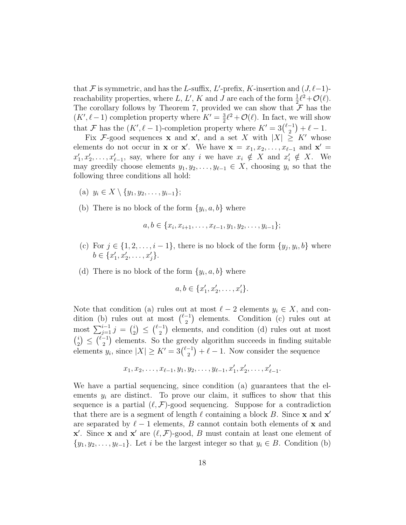that F is symmetric, and has the L-suffix, L'-prefix, K-insertion and  $(J, \ell-1)$ reachability properties, where L, L', K and J are each of the form  $\frac{1}{2}\ell^2 + \mathcal{O}(\ell)$ . The corollary follows by Theorem 7, provided we can show that  $\mathcal F$  has the  $(K', \ell - 1)$  completion property where  $K' = \frac{3}{2}$  $\frac{3}{2}\ell^2 + \mathcal{O}(\ell)$ . In fact, we will show that F has the  $(K', \ell - 1)$ -completion property where  $K' = 3\binom{\ell-1}{2}$  $\binom{-1}{2} + \ell - 1.$ 

Fix F-good sequences **x** and **x'**, and a set X with  $|X| \geq K'$  whose elements do not occur in **x** or **x'**. We have  $\mathbf{x} = x_1, x_2, \ldots, x_{\ell-1}$  and  $\mathbf{x}' =$  $x'_1, x'_2, \ldots, x'_{\ell-1}$ , say, where for any i we have  $x_i \notin X$  and  $x'_i \notin X$ . We may greedily choose elements  $y_1, y_2, \ldots, y_{\ell-1} \in X$ , choosing  $y_i$  so that the following three conditions all hold:

- (a)  $y_i \in X \setminus \{y_1, y_2, \ldots, y_{i-1}\};$
- (b) There is no block of the form  $\{y_i, a, b\}$  where

$$
a, b \in \{x_i, x_{i+1}, \ldots, x_{\ell-1}, y_1, y_2, \ldots, y_{i-1}\};
$$

- (c) For  $j \in \{1, 2, \ldots, i-1\}$ , there is no block of the form  $\{y_j, y_i, b\}$  where  $b \in \{x'_1, x'_2, \ldots, x'_j\}.$
- (d) There is no block of the form  $\{y_i, a, b\}$  where

$$
a, b \in \{x'_1, x'_2, \dots, x'_i\}.
$$

Note that condition (a) rules out at most  $\ell - 2$  elements  $y_i \in X$ , and condition (b) rules out at most  $\binom{\ell-1}{2}$  $\binom{-1}{2}$  elements. Condition (c) rules out at most  $\sum_{j=1}^{i-1} j = {i \choose 2}$  $\binom{i}{2} \leq \binom{\ell-1}{2}$  $\binom{-1}{2}$  elements, and condition (d) rules out at most  $\binom{i}{i}$  $\binom{i}{2} \leq \binom{\ell-1}{2}$  $\binom{-1}{2}$  elements. So the greedy algorithm succeeds in finding suitable elements  $y_i$ , since  $|X| \geq K' = 3\binom{\ell-1}{2}$  $\binom{-1}{2} + \ell - 1$ . Now consider the sequence

$$
x_1, x_2, \ldots, x_{\ell-1}, y_1, y_2, \ldots, y_{\ell-1}, x'_1, x'_2, \ldots, x'_{\ell-1}.
$$

We have a partial sequencing, since condition (a) guarantees that the elements  $y_i$  are distinct. To prove our claim, it suffices to show that this sequence is a partial  $(\ell, \mathcal{F})$ -good sequencing. Suppose for a contradiction that there are is a segment of length  $\ell$  containing a block B. Since x and  $x'$ are separated by  $\ell - 1$  elements, B cannot contain both elements of x and  $\mathbf{x}'$ . Since  $\mathbf{x}$  and  $\mathbf{x}'$  are  $(\ell, \mathcal{F})$ -good, B must contain at least one element of  $\{y_1, y_2, \ldots, y_{\ell-1}\}.$  Let i be the largest integer so that  $y_i \in B$ . Condition (b)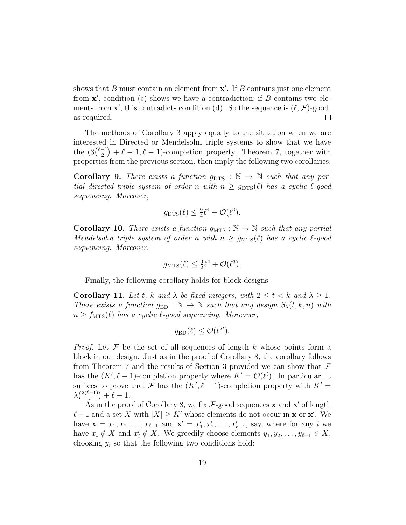shows that  $B$  must contain an element from  $x'$ . If  $B$  contains just one element from  $x'$ , condition (c) shows we have a contradiction; if  $B$  contains two elements from  $\mathbf{x}'$ , this contradicts condition (d). So the sequence is  $(\ell, \mathcal{F})$ -good, as required.  $\Box$ 

The methods of Corollary 3 apply equally to the situation when we are interested in Directed or Mendelsohn triple systems to show that we have the  $(3\binom{\ell-1}{2})$  $\binom{-1}{2} + \ell - 1$ ,  $\ell - 1$ )-completion property. Theorem 7, together with properties from the previous section, then imply the following two corollaries.

**Corollary 9.** There exists a function  $g_{\text{DTS}} : \mathbb{N} \to \mathbb{N}$  such that any partial directed triple system of order n with  $n \geq g_{\text{DTS}}(\ell)$  has a cyclic  $\ell$ -good sequencing. Moreover,

$$
g_{\text{DTS}}(\ell) \leq \frac{9}{4}\ell^4 + \mathcal{O}(\ell^3).
$$

**Corollary 10.** There exists a function  $g_{\text{MTS}} : \mathbb{N} \to \mathbb{N}$  such that any partial Mendelsohn triple system of order n with  $n \geq g_{\text{MTS}}(\ell)$  has a cyclic  $\ell$ -good sequencing. Moreover,

$$
g_{\text{MTS}}(\ell) \leq \frac{3}{2}\ell^4 + \mathcal{O}(\ell^3).
$$

Finally, the following corollary holds for block designs:

Corollary 11. Let t, k and  $\lambda$  be fixed integers, with  $2 \leq t \leq k$  and  $\lambda \geq 1$ . There exists a function  $g_{BD} : \mathbb{N} \to \mathbb{N}$  such that any design  $S_{\lambda}(t, k, n)$  with  $n \ge f_{\text{MTS}}(\ell)$  has a cyclic  $\ell$ -good sequencing. Moreover,

$$
g_{\rm BD}(\ell) \leq \mathcal{O}(\ell^{2t}).
$$

*Proof.* Let  $\mathcal F$  be the set of all sequences of length k whose points form a block in our design. Just as in the proof of Corollary 8, the corollary follows from Theorem 7 and the results of Section 3 provided we can show that  $\mathcal F$ has the  $(K', \ell - 1)$ -completion property where  $K' = \mathcal{O}(\ell^t)$ . In particular, it suffices to prove that F has the  $(K', \ell - 1)$ -completion property with  $K' =$  $\lambda \binom{2(\ell-1)}{t}$  $\binom{-1}{t} + \ell - 1.$ 

As in the proof of Corollary 8, we fix  $\mathcal{F}\text{-good sequences } \mathbf{x}$  and  $\mathbf{x}'$  of length  $\ell-1$  and a set X with  $|X| \geq K'$  whose elements do not occur in **x** or **x'**. We have  $\mathbf{x} = x_1, x_2, \dots, x_{\ell-1}$  and  $\mathbf{x}' = x'_1, x'_2, \dots, x'_{\ell-1}$ , say, where for any i we have  $x_i \notin X$  and  $x'_i \notin X$ . We greedily choose elements  $y_1, y_2, \ldots, y_{\ell-1} \in X$ , choosing  $y_i$  so that the following two conditions hold: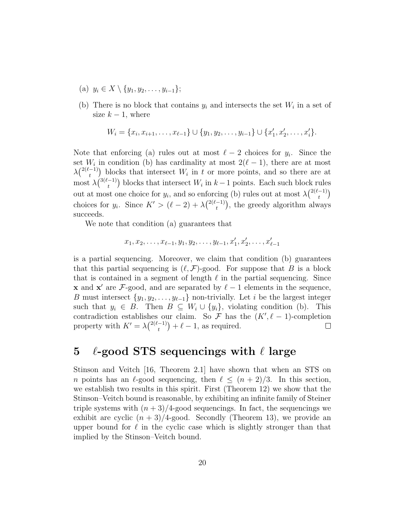- (a)  $y_i \in X \setminus \{y_1, y_2, \ldots, y_{i-1}\};$
- (b) There is no block that contains  $y_i$  and intersects the set  $W_i$  in a set of size  $k - 1$ , where

$$
W_i = \{x_i, x_{i+1}, \dots, x_{\ell-1}\} \cup \{y_1, y_2, \dots, y_{i-1}\} \cup \{x'_1, x'_2, \dots, x'_i\}.
$$

Note that enforcing (a) rules out at most  $\ell - 2$  choices for  $y_i$ . Since the set  $W_i$  in condition (b) has cardinality at most  $2(\ell - 1)$ , there are at most  $\lambda \binom{2(\ell-1)}{t}$  $\binom{-1}{t}$  blocks that intersect  $W_i$  in t or more points, and so there are at most  $\lambda \binom{3(\ell-1)}{1}$  $\binom{-1}{t}$  blocks that intersect  $W_i$  in  $k-1$  points. Each such block rules out at most one choice for  $y_i$ , and so enforcing (b) rules out at most  $\lambda \binom{2(\ell-1)}{t}$  $\binom{-1}{t}$ choices for  $y_i$ . Since  $K' > (\ell - 2) + \lambda \binom{2(\ell-1)}{t}$  $\binom{-1}{t}$ , the greedy algorithm always succeeds.

We note that condition (a) guarantees that

$$
x_1, x_2, \ldots, x_{\ell-1}, y_1, y_2, \ldots, y_{\ell-1}, x'_1, x'_2, \ldots, x'_{\ell-1}
$$

is a partial sequencing. Moreover, we claim that condition (b) guarantees that this partial sequencing is  $(\ell, \mathcal{F})$ -good. For suppose that B is a block that is contained in a segment of length  $\ell$  in the partial sequencing. Since **x** and **x'** are F-good, and are separated by  $\ell - 1$  elements in the sequence, B must intersect  $\{y_1, y_2, \ldots, y_{\ell-1}\}\$  non-trivially. Let i be the largest integer such that  $y_i \in B$ . Then  $B \subseteq W_i \cup \{y_i\}$ , violating condition (b). This contradiction establishes our claim. So  $\mathcal F$  has the  $(K', \ell - 1)$ -completion property with  $K' = \lambda \binom{2(\ell-1)}{t}$  $\binom{-1}{t} + \ell - 1$ , as required.  $\Box$ 

# 5  $\ell$ -good STS sequencings with  $\ell$  large

Stinson and Veitch [16, Theorem 2.1] have shown that when an STS on n points has an  $\ell$ -good sequencing, then  $\ell \leq (n + 2)/3$ . In this section, we establish two results in this spirit. First (Theorem 12) we show that the Stinson–Veitch bound is reasonable, by exhibiting an infinite family of Steiner triple systems with  $(n + 3)/4$ -good sequencings. In fact, the sequencings we exhibit are cyclic  $(n+3)/4$ -good. Secondly (Theorem 13), we provide an upper bound for  $\ell$  in the cyclic case which is slightly stronger than that implied by the Stinson–Veitch bound.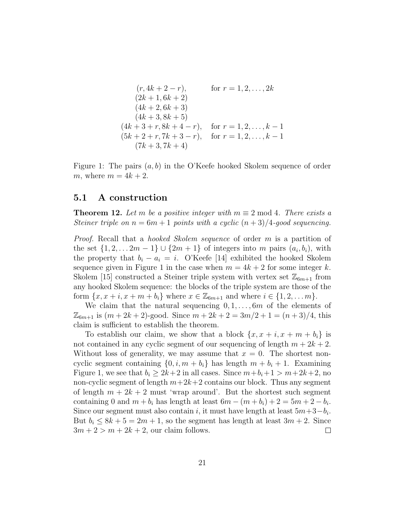$$
(r, 4k + 2 - r), \tfor r = 1, 2, ..., 2k
$$
  
\n
$$
(2k + 1, 6k + 2)
$$
  
\n
$$
(4k + 2, 6k + 3)
$$
  
\n
$$
(4k + 3, 8k + 5)
$$
  
\n
$$
(4k + 3 + r, 8k + 4 - r), \tfor r = 1, 2, ..., k - 1
$$
  
\n
$$
(5k + 2 + r, 7k + 3 - r), \tfor r = 1, 2, ..., k - 1
$$
  
\n
$$
(7k + 3, 7k + 4)
$$

Figure 1: The pairs  $(a, b)$  in the O'Keefe hooked Skolem sequence of order m, where  $m = 4k + 2$ .

#### 5.1 A construction

**Theorem 12.** Let m be a positive integer with  $m \equiv 2 \mod 4$ . There exists a Steiner triple on  $n = 6m + 1$  points with a cyclic  $(n + 3)/4$ -good sequencing.

Proof. Recall that a hooked Skolem sequence of order m is a partition of the set  $\{1, 2, \ldots 2m - 1\} \cup \{2m + 1\}$  of integers into m pairs  $(a_i, b_i)$ , with the property that  $b_i - a_i = i$ . O'Keefe [14] exhibited the hooked Skolem sequence given in Figure 1 in the case when  $m = 4k + 2$  for some integer k. Skolem [15] constructed a Steiner triple system with vertex set  $\mathbb{Z}_{6m+1}$  from any hooked Skolem sequence: the blocks of the triple system are those of the form  $\{x, x + i, x + m + b_i\}$  where  $x \in \mathbb{Z}_{6m+1}$  and where  $i \in \{1, 2, ..., m\}$ .

We claim that the natural sequencing  $0, 1, \ldots, 6m$  of the elements of  $\mathbb{Z}_{6m+1}$  is  $(m+2k+2)$ -good. Since  $m+2k+2=3m/2+1=(n+3)/4$ , this claim is sufficient to establish the theorem.

To establish our claim, we show that a block  $\{x, x + i, x + m + b_i\}$  is not contained in any cyclic segment of our sequencing of length  $m + 2k + 2$ . Without loss of generality, we may assume that  $x = 0$ . The shortest noncyclic segment containing  $\{0, i, m + b_i\}$  has length  $m + b_i + 1$ . Examining Figure 1, we see that  $b_i \geq 2k+2$  in all cases. Since  $m+b_i+1 > m+2k+2$ , no non-cyclic segment of length  $m+2k+2$  contains our block. Thus any segment of length  $m + 2k + 2$  must 'wrap around'. But the shortest such segment containing 0 and  $m + b_i$  has length at least  $6m - (m + b_i) + 2 = 5m + 2 - b_i$ . Since our segment must also contain i, it must have length at least  $5m+3-b_i$ . But  $b_i \leq 8k + 5 = 2m + 1$ , so the segment has length at least  $3m + 2$ . Since  $3m + 2 > m + 2k + 2$ , our claim follows.  $\Box$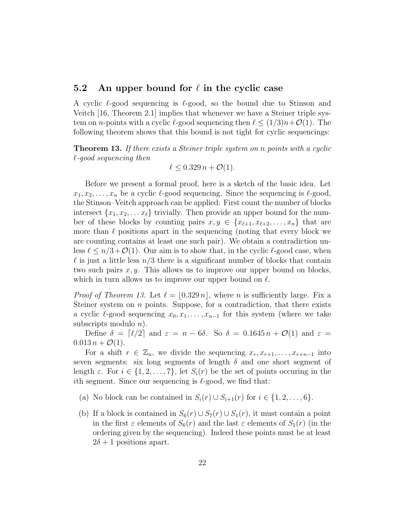#### 5.2 An upper bound for  $\ell$  in the cyclic case

A cyclic  $\ell$ -good sequencing is  $\ell$ -good, so the bound due to Stinson and Veitch [16, Theorem 2.1] implies that whenever we have a Steiner triple system on n-points with a cyclic  $\ell$ -good sequencing then  $\ell \leq (1/3)n+\mathcal{O}(1)$ . The following theorem shows that this bound is not tight for cyclic sequencings:

**Theorem 13.** If there exists a Steiner triple system on n points with a cyclic  $\ell$ -good sequencing then

$$
\ell \leq 0.329 n + \mathcal{O}(1).
$$

Before we present a formal proof, here is a sketch of the basic idea. Let  $x_1, x_2, \ldots, x_n$  be a cyclic  $\ell$ -good sequencing. Since the sequencing is  $\ell$ -good, the Stinson–Veitch approach can be applied: First count the number of blocks intersect  $\{x_1, x_2, \ldots x_\ell\}$  trivially. Then provide an upper bound for the number of these blocks by counting pairs  $x, y \in \{x_{\ell+1}, x_{\ell+2}, \ldots, x_n\}$  that are more than  $\ell$  positions apart in the sequencing (noting that every block we are counting contains at least one such pair). We obtain a contradiction unless  $\ell \leq n/3 + \mathcal{O}(1)$ . Our aim is to show that, in the cyclic  $\ell$ -good case, when  $\ell$  is just a little less  $n/3$  there is a significant number of blocks that contain two such pairs  $x, y$ . This allows us to improve our upper bound on blocks, which in turn allows us to improve our upper bound on  $\ell$ .

*Proof of Theorem 13.* Let  $\ell = \lfloor 0.329 n \rfloor$ , where n is sufficiently large. Fix a Steiner system on n points. Suppose, for a contradiction, that there exists a cyclic  $\ell$ -good sequencing  $x_0, x_1, \ldots, x_{n-1}$  for this system (where we take subscripts modulo  $n$ ).

Define  $\delta = [\ell/2]$  and  $\varepsilon = n - 6\delta$ . So  $\delta = 0.1645 n + \mathcal{O}(1)$  and  $\varepsilon =$  $0.013 n + \mathcal{O}(1)$ .

For a shift  $r \in \mathbb{Z}_n$ , we divide the sequencing  $x_r, x_{r+1}, \ldots, x_{r+n-1}$  into seven segments: six long segments of length  $\delta$  and one short segment of length  $\varepsilon$ . For  $i \in \{1, 2, ..., 7\}$ , let  $S_i(r)$  be the set of points occuring in the ith segment. Since our sequencing is  $\ell$ -good, we find that:

- (a) No block can be contained in  $S_i(r) \cup S_{i+1}(r)$  for  $i \in \{1, 2, ..., 6\}$ .
- (b) If a block is contained in  $S_6(r) \cup S_7(r) \cup S_1(r)$ , it must contain a point in the first  $\varepsilon$  elements of  $S_6(r)$  and the last  $\varepsilon$  elements of  $S_1(r)$  (in the ordering given by the sequencing). Indeed these points must be at least  $2\delta + 1$  positions apart.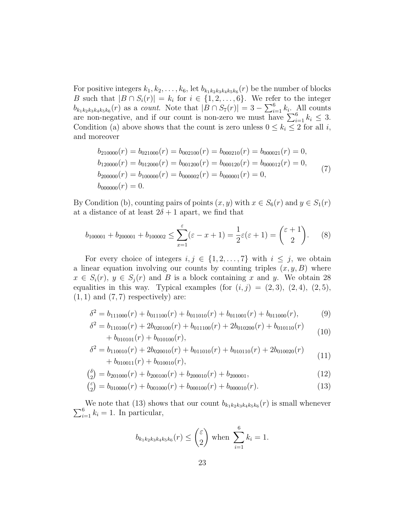For positive integers  $k_1, k_2, \ldots, k_6$ , let  $b_{k_1k_2k_3k_4k_5k_6}(r)$  be the number of blocks B such that  $|B \cap S_i(r)| = k_i$  for  $i \in \{1, 2, ..., 6\}$ . We refer to the integer  $b_{k_1k_2k_3k_4k_5k_6}(r)$  as a *count*. Note that  $|\overline{B} \cap S_7(r)| = 3 - \sum_{i=1}^6 k_i$ . All counts are non-negative, and if our count is non-zero we must have  $\sum_{i=1}^{6} k_i \leq 3$ . Condition (a) above shows that the count is zero unless  $0 \leq k_i \leq 2$  for all i, and moreover

$$
b_{210000}(r) = b_{021000}(r) = b_{002100}(r) = b_{000210}(r) = b_{000021}(r) = 0,
$$
  
\n
$$
b_{120000}(r) = b_{012000}(r) = b_{001200}(r) = b_{000120}(r) = b_{000012}(r) = 0,
$$
  
\n
$$
b_{200000}(r) = b_{100000}(r) = b_{000002}(r) = b_{000001}(r) = 0,
$$
  
\n
$$
b_{000000}(r) = 0.
$$
\n(7)

By Condition (b), counting pairs of points  $(x, y)$  with  $x \in S_6(r)$  and  $y \in S_1(r)$ at a distance of at least  $2\delta + 1$  apart, we find that

$$
b_{100001} + b_{200001} + b_{100002} \le \sum_{x=1}^{\varepsilon} (\varepsilon - x + 1) = \frac{1}{2} \varepsilon (\varepsilon + 1) = {\varepsilon + 1 \choose 2}.
$$
 (8)

For every choice of integers  $i, j \in \{1, 2, ..., 7\}$  with  $i \leq j$ , we obtain a linear equation involving our counts by counting triples  $(x, y, B)$  where  $x \in S_i(r)$ ,  $y \in S_i(r)$  and B is a block containing x and y. We obtain 28 equalities in this way. Typical examples (for  $(i, j) = (2, 3), (2, 4), (2, 5),$  $(1, 1)$  and  $(7, 7)$  respectively) are:

$$
\delta^2 = b_{111000}(r) + b_{011100}(r) + b_{011010}(r) + b_{011001}(r) + b_{011000}(r),
$$
\n
$$
\delta^2 = b_{111000}(r) + 3b_{01100}(r) + b_{011001}(r) + b_{011000}(r),
$$
\n(9)

$$
\delta^2 = b_{110100}(r) + 2b_{020100}(r) + b_{011100}(r) + 2b_{010200}(r) + b_{010110}(r) + b_{010101}(r) + b_{010100}(r),
$$
\n(10)

$$
\delta^2 = b_{110010}(r) + 2b_{020010}(r) + b_{011010}(r) + b_{010110}(r) + 2b_{010020}(r) + b_{010011}(r) + b_{010010}(r),
$$
\n(11)

$$
\binom{\delta}{2} = b_{201000}(r) + b_{200100}(r) + b_{200010}(r) + b_{200001},\tag{12}
$$

$$
\binom{\varepsilon}{2} = b_{010000}(r) + b_{001000}(r) + b_{000100}(r) + b_{000010}(r). \tag{13}
$$

We note that (13) shows that our count  $b_{k_1k_2k_3k_4k_5k_6}$  $\sum$ We note that (13) shows that our count  $b_{k_1k_2k_3k_4k_5k_6}(r)$  is small whenever  $\frac{6}{i=1}k_i = 1$ . In particular,

$$
b_{k_1k_2k_3k_4k_5k_6}(r) \leq {\varepsilon \choose 2} \text{ when } \sum_{i=1}^6 k_i = 1.
$$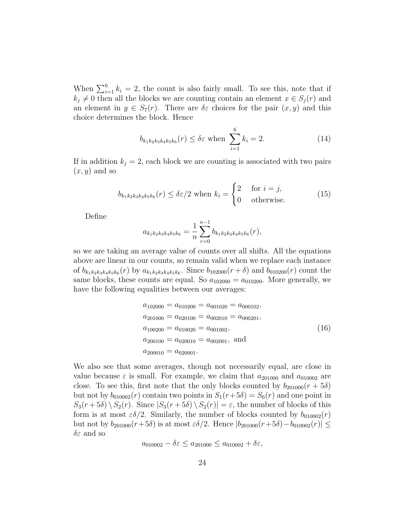When  $\sum_{i=1}^{6} k_i = 2$ , the count is also fairly small. To see this, note that if  $k_j \neq 0$  then all the blocks we are counting contain an element  $x \in S_j(r)$  and an element in  $y \in S_7(r)$ . There are  $\delta \varepsilon$  choices for the pair  $(x, y)$  and this choice determines the block. Hence

$$
b_{k_1k_2k_3k_4k_5k_6}(r) \le \delta \varepsilon \text{ when } \sum_{i=1}^6 k_i = 2. \tag{14}
$$

If in addition  $k_j = 2$ , each block we are counting is associated with two pairs  $(x, y)$  and so

$$
b_{k_1k_2k_3k_4k_5k_6}(r) \le \delta \varepsilon/2 \text{ when } k_i = \begin{cases} 2 & \text{for } i = j, \\ 0 & \text{otherwise.} \end{cases}
$$
 (15)

Define

$$
a_{k_1k_2k_3k_4k_5k_6} = \frac{1}{n} \sum_{r=0}^{n-1} b_{k_1k_2k_3k_4k_5k_6}(r),
$$

so we are taking an average value of counts over all shifts. All the equations above are linear in our counts, so remain valid when we replace each instance of  $b_{k_1k_2k_3k_4k_5k_6}(r)$  by  $a_{k_1k_2k_3k_4k_5k_6}$ . Since  $b_{102000}(r+\delta)$  and  $b_{010200}(r)$  count the same blocks, these counts are equal. So  $a_{102000} = a_{010200}$ . More generally, we have the following equalities between our averages:

$$
a_{102000} = a_{010200} = a_{001020} = a_{000102},
$$
  
\n
$$
a_{201000} = a_{020100} = a_{002010} = a_{000201},
$$
  
\n
$$
a_{100200} = a_{010020} = a_{001002},
$$
  
\n
$$
a_{200100} = a_{020010} = a_{002001},
$$
 and  
\n
$$
a_{200010} = a_{020001}.
$$
\n(16)

We also see that some averages, though not necessarily equal, are close in value because  $\varepsilon$  is small. For example, we claim that  $a_{201000}$  and  $a_{010002}$  are close. To see this, first note that the only blocks counted by  $b_{201000}(r+5\delta)$ but not by  $b_{010002}(r)$  contain two points in  $S_1(r+5\delta) = S_6(r)$  and one point in  $S_3(r+5\delta) \setminus S_2(r)$ . Since  $|S_3(r+5\delta) \setminus S_2(r)| = \varepsilon$ , the number of blocks of this form is at most  $\varepsilon \delta/2$ . Similarly, the number of blocks counted by  $b_{010002}(r)$ but not by  $b_{201000}(r+5\delta)$  is at most  $\varepsilon \delta/2$ . Hence  $|b_{201000}(r+5\delta)-b_{010002}(r)| \leq$  $\delta \varepsilon$  and so

$$
a_{010002} - \delta \varepsilon \le a_{201000} \le a_{010002} + \delta \varepsilon,
$$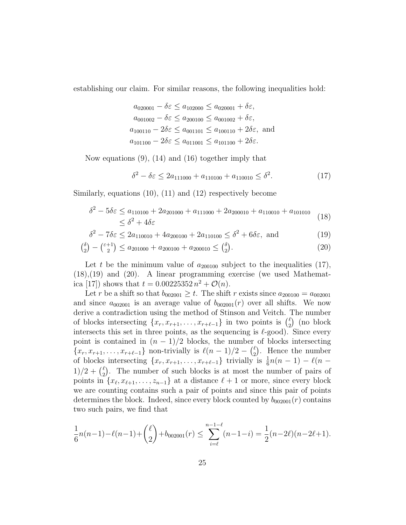establishing our claim. For similar reasons, the following inequalities hold:

$$
a_{020001} - \delta \varepsilon \le a_{102000} \le a_{020001} + \delta \varepsilon,
$$
  
\n
$$
a_{001002} - \delta \varepsilon \le a_{200100} \le a_{001002} + \delta \varepsilon,
$$
  
\n
$$
a_{100110} - 2\delta \varepsilon \le a_{001101} \le a_{100110} + 2\delta \varepsilon,
$$
 and  
\n
$$
a_{101100} - 2\delta \varepsilon \le a_{011001} \le a_{101100} + 2\delta \varepsilon.
$$

Now equations (9), (14) and (16) together imply that

$$
\delta^2 - \delta \varepsilon \le 2a_{111000} + a_{110100} + a_{110010} \le \delta^2. \tag{17}
$$

Similarly, equations (10), (11) and (12) respectively become

$$
\delta^2 - 5\delta\varepsilon \le a_{110100} + 2a_{201000} + a_{111000} + 2a_{200010} + a_{110010} + a_{101010}
$$
\n
$$
\le \delta^2 + 4\delta\varepsilon \tag{18}
$$

$$
\delta^2 - 7\delta\varepsilon \le 2a_{110010} + 4a_{200100} + 2a_{110100} \le \delta^2 + 6\delta\varepsilon, \text{ and } (19)
$$

$$
\binom{\delta}{2} - \binom{\epsilon + 1}{2} \le a_{201000} + a_{200100} + a_{200010} \le \binom{\delta}{2}.
$$
\n(20)

Let t be the minimum value of  $a_{200100}$  subject to the inequalities (17), (18),(19) and (20). A linear programming exercise (we used Mathematica [17]) shows that  $t = 0.00225352 n^2 + \mathcal{O}(n)$ .

Let r be a shift so that  $b_{002001} \geq t$ . The shift r exists since  $a_{200100} = a_{002001}$ and since  $a_{002001}$  is an average value of  $b_{002001}(r)$  over all shifts. We now derive a contradiction using the method of Stinson and Veitch. The number of blocks intersecting  $\{x_r, x_{r+1}, \ldots, x_{r+\ell-1}\}$  in two points is  $\binom{\ell}{2}$  $_{2}^{\ell}$ ) (no block intersects this set in three points, as the sequencing is  $\ell$ -good). Since every point is contained in  $(n - 1)/2$  blocks, the number of blocks intersecting  $\{x_r, x_{r+1}, \ldots, x_{r+\ell-1}\}\$  non-trivially is  $\ell(n-1)/2 - \ell_2$  $2\text{)}$ . Hence the number of blocks intersecting  $\{x_r, x_{r+1}, \ldots, x_{r+\ell-1}\}$  trivially is  $\frac{1}{6}n(n-1) - \ell(n-1)$  $1)/2 + \binom{\ell}{2}$  $\binom{\ell}{2}$ . The number of such blocks is at most the number of pairs of points in  $\{x_{\ell}, x_{\ell+1}, \ldots, z_{n-1}\}\$  at a distance  $\ell + 1$  or more, since every block we are counting contains such a pair of points and since this pair of points determines the block. Indeed, since every block counted by  $b_{002001}(r)$  contains two such pairs, we find that

$$
\frac{1}{6}n(n-1)-\ell(n-1)+\binom{\ell}{2}+b_{002001}(r)\leq \sum_{i=\ell}^{n-1-\ell}(n-1-i)=\frac{1}{2}(n-2\ell)(n-2\ell+1).
$$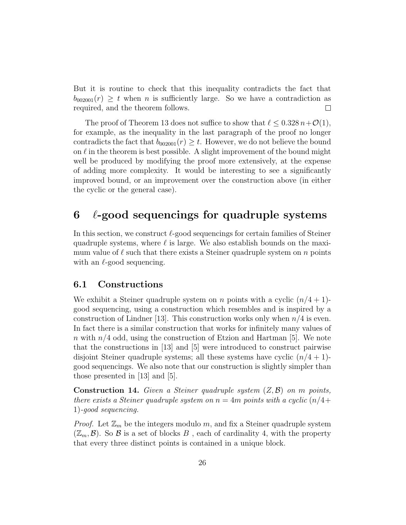But it is routine to check that this inequality contradicts the fact that  $b_{002001}(r) \geq t$  when *n* is sufficiently large. So we have a contradiction as required, and the theorem follows.  $\Box$ 

The proof of Theorem 13 does not suffice to show that  $\ell \leq 0.328 n+\mathcal{O}(1)$ , for example, as the inequality in the last paragraph of the proof no longer contradicts the fact that  $b_{002001}(r) \geq t$ . However, we do not believe the bound on  $\ell$  in the theorem is best possible. A slight improvement of the bound might well be produced by modifying the proof more extensively, at the expense of adding more complexity. It would be interesting to see a significantly improved bound, or an improvement over the construction above (in either the cyclic or the general case).

# $6 \ell$ -good sequencings for quadruple systems

In this section, we construct  $\ell$ -good sequencings for certain families of Steiner quadruple systems, where  $\ell$  is large. We also establish bounds on the maximum value of  $\ell$  such that there exists a Steiner quadruple system on n points with an  $\ell$ -good sequencing.

#### 6.1 Constructions

We exhibit a Steiner quadruple system on n points with a cyclic  $(n/4 + 1)$ good sequencing, using a construction which resembles and is inspired by a construction of Lindner [13]. This construction works only when  $n/4$  is even. In fact there is a similar construction that works for infinitely many values of n with  $n/4$  odd, using the construction of Etzion and Hartman [5]. We note that the constructions in [13] and [5] were introduced to construct pairwise disjoint Steiner quadruple systems; all these systems have cyclic  $(n/4 + 1)$ good sequencings. We also note that our construction is slightly simpler than those presented in [13] and [5].

**Construction 14.** Given a Steiner quadruple system  $(Z, \mathcal{B})$  on m points, there exists a Steiner quadruple system on  $n = 4m$  points with a cyclic  $(n/4 +$ 1)-good sequencing.

*Proof.* Let  $\mathbb{Z}_m$  be the integers modulo m, and fix a Steiner quadruple system  $(\mathbb{Z}_m, \mathcal{B})$ . So  $\mathcal B$  is a set of blocks  $B$ , each of cardinality 4, with the property that every three distinct points is contained in a unique block.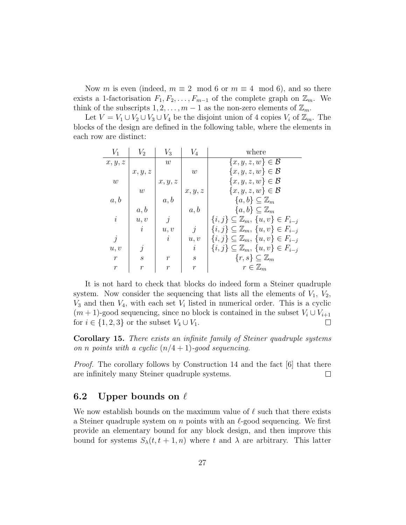Now m is even (indeed,  $m \equiv 2 \mod 6$  or  $m \equiv 4 \mod 6$ ), and so there exists a 1-factorisation  $F_1, F_2, \ldots, F_{m-1}$  of the complete graph on  $\mathbb{Z}_m$ . We think of the subscripts  $1, 2, \ldots, m-1$  as the non-zero elements of  $\mathbb{Z}_m$ .

Let  $V = V_1 \cup V_2 \cup V_3 \cup V_4$  be the disjoint union of 4 copies  $V_i$  of  $\mathbb{Z}_m$ . The blocks of the design are defined in the following table, where the elements in each row are distinct:

| $V_1$            | $V_2$             | $V_3$            | $V_4$             | where                                                   |
|------------------|-------------------|------------------|-------------------|---------------------------------------------------------|
| x, y, z          |                   | w                |                   | $\{x, y, z, w\} \in \mathcal{B}$                        |
|                  | x, y, z           |                  | w                 | $\{x,y,z,w\} \in \mathcal{B}$                           |
| $\boldsymbol{w}$ |                   | x, y, z          |                   | $\{x,y,z,w\} \in \mathcal{B}$                           |
|                  | w                 |                  | x, y, z           | $\{x,y,z,w\} \in \mathcal{B}$                           |
| a, b             |                   | a, b             |                   | $\{a,b\} \subseteq \mathbb{Z}_m$                        |
|                  | a, b              |                  | a, b              | $\{a,b\} \subseteq \mathbb{Z}_m$                        |
| $\dot{\imath}$   | u, v              | $\dot{j}$        |                   | $\{i,j\}\subseteq \mathbb{Z}_m, \{u,v\}\in F_{i-j}$     |
|                  | $\dot{i}$         | u, v             | $\dot{j}$         | $\{i,j\}\subseteq \mathbb{Z}_m, \{u,v\}\in F_{i-j}$     |
| $\dot{\eta}$     |                   | $\dot{i}$        | u, v              | $\{i, j\} \subseteq \mathbb{Z}_m, \{u, v\} \in F_{i-j}$ |
| u, v             | j                 |                  | $\dot{i}$         | $\{i, j\} \subseteq \mathbb{Z}_m, \{u, v\} \in F_{i-j}$ |
| $\mathcal{r}$    | $\mathcal{S}_{0}$ | $\boldsymbol{r}$ | $\mathcal{S}_{0}$ | $\{r,s\} \subseteq \mathbb{Z}_m$                        |
| $\boldsymbol{r}$ | $\boldsymbol{r}$  | $\boldsymbol{r}$ | $\boldsymbol{r}$  | $r \in \mathbb{Z}_m$                                    |

It is not hard to check that blocks do indeed form a Steiner quadruple system. Now consider the sequencing that lists all the elements of  $V_1$ ,  $V_2$ ,  $V_3$  and then  $V_4$ , with each set  $V_i$  listed in numerical order. This is a cyclic  $(m + 1)$ -good sequencing, since no block is contained in the subset  $V_i \cup V_{i+1}$ for  $i \in \{1,2,3\}$  or the subset  $V_4 \cup V_1$ .  $\Box$ 

Corollary 15. There exists an infinite family of Steiner quadruple systems on n points with a cyclic  $(n/4 + 1)$ -good sequencing.

*Proof.* The corollary follows by Construction 14 and the fact  $[6]$  that there are infinitely many Steiner quadruple systems.  $\Box$ 

#### 6.2 Upper bounds on  $\ell$

We now establish bounds on the maximum value of  $\ell$  such that there exists a Steiner quadruple system on n points with an  $\ell$ -good sequencing. We first provide an elementary bound for any block design, and then improve this bound for systems  $S_{\lambda}(t, t+1, n)$  where t and  $\lambda$  are arbitrary. This latter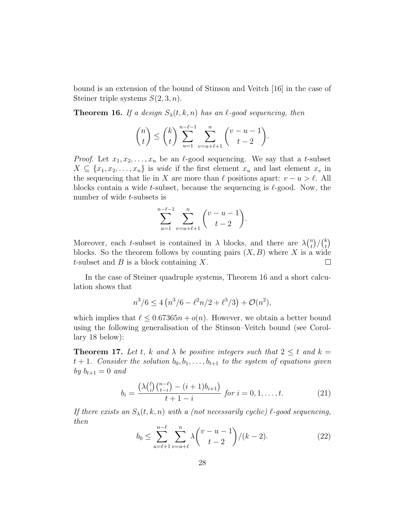bound is an extension of the bound of Stinson and Veitch [16] in the case of Steiner triple systems  $S(2,3,n)$ .

**Theorem 16.** If a design  $S_{\lambda}(t, k, n)$  has an  $\ell$ -good sequencing, then

$$
\binom{n}{t} \leq \binom{k}{t} \sum_{u=1}^{n-\ell-1} \sum_{v=u+\ell+1}^{n} \binom{v-u-1}{t-2}.
$$

*Proof.* Let  $x_1, x_2, \ldots, x_n$  be an  $\ell$ -good sequencing. We say that a t-subset  $X \subseteq \{x_1, x_2, \ldots, x_n\}$  is *wide* if the first element  $x_u$  and last element  $x_v$  in the sequencing that lie in X are more than  $\ell$  positions apart:  $v - u > \ell$ . All blocks contain a wide t-subset, because the sequencing is  $\ell$ -good. Now, the number of wide t-subsets is

$$
\sum_{u=1}^{n-\ell-1} \sum_{v=u+\ell+1}^{n} \binom{v-u-1}{t-2}.
$$

Moreover, each t-subset is contained in  $\lambda$  blocks, and there are  $\lambda\binom{n}{t}$  $\binom{n}{t}/\binom{k}{t}$  $_t^k\big)$ blocks. So the theorem follows by counting pairs  $(X, B)$  where X is a wide t-subset and  $B$  is a block containing  $X$ .  $\Box$ 

In the case of Steiner quadruple systems, Theorem 16 and a short calculation shows that

$$
n^3/6 \le 4\left(n^3/6 - \ell^2n/2 + \ell^3/3\right) + \mathcal{O}(n^2),
$$

which implies that  $\ell \leq 0.67365n + o(n)$ . However, we obtain a better bound using the following generalisation of the Stinson–Veitch bound (see Corollary 18 below):

**Theorem 17.** Let t, k and  $\lambda$  be positive integers such that  $2 \leq t$  and  $k =$  $t + 1$ . Consider the solution  $b_0, b_1, \ldots, b_{t+1}$  to the system of equations given by  $b_{t+1} = 0$  and

$$
b_i = \frac{\left(\lambda \binom{\ell}{i} \binom{n-\ell}{t-i} - (i+1)b_{i+1}\right)}{t+1-i} \text{ for } i = 0, 1, \dots, t. \tag{21}
$$

If there exists an  $S_{\lambda}(t, k, n)$  with a (not necessarily cyclic)  $\ell$ -good sequencing, then

$$
b_0 \le \sum_{u=\ell+1}^{n-\ell} \sum_{v=u+\ell}^n \lambda \binom{v-u-1}{t-2} / (k-2). \tag{22}
$$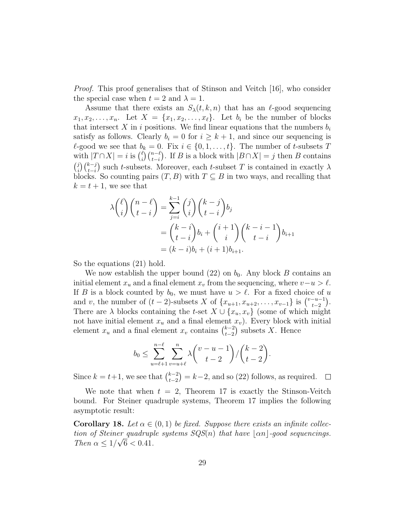Proof. This proof generalises that of Stinson and Veitch [16], who consider the special case when  $t = 2$  and  $\lambda = 1$ .

Assume that there exists an  $S_{\lambda}(t, k, n)$  that has an  $\ell$ -good sequencing  $x_1, x_2, \ldots, x_n$ . Let  $X = \{x_1, x_2, \ldots, x_\ell\}$ . Let  $b_i$  be the number of blocks that intersect X in i positions. We find linear equations that the numbers  $b_i$ satisfy as follows. Clearly  $b_i = 0$  for  $i \geq k + 1$ , and since our sequencing is  $\ell$ -good we see that  $b_k = 0$ . Fix  $i \in \{0, 1, \ldots, t\}$ . The number of t-subsets T with  $|T \cap X| = i$  is  $\binom{\ell}{i}$  $\binom{\ell}{i}\binom{n-\ell}{t-i}$ . If B is a block with  $|B \cap X| = j$  then B contains  $\binom{j}{j}$  $\sum_{i}^{j} {k-j \choose t-i}$  such t-subsets. Moreover, each t-subset T is contained in exactly  $\lambda$ blocks. So counting pairs  $(T, B)$  with  $T \subseteq B$  in two ways, and recalling that  $k = t + 1$ , we see that

$$
\lambda \binom{\ell}{i} \binom{n-\ell}{t-i} = \sum_{j=i}^{k-1} \binom{j}{i} \binom{k-j}{t-i} b_j
$$

$$
= \binom{k-i}{t-i} b_i + \binom{i+1}{i} \binom{k-i-1}{t-i} b_{i+1}
$$

$$
= (k-i)b_i + (i+1)b_{i+1}.
$$

So the equations (21) hold.

We now establish the upper bound  $(22)$  on  $b_0$ . Any block B contains an initial element  $x_u$  and a final element  $x_v$  from the sequencing, where  $v-u > \ell$ . If B is a block counted by  $b_0$ , we must have  $u > \ell$ . For a fixed choice of u and v, the number of  $(t-2)$ -subsets X of  $\{x_{u+1}, x_{u+2}, \ldots, x_{v-1}\}$  is  $\binom{v-u-1}{t-2}$  $\frac{-u-1}{t-2}$ . There are  $\lambda$  blocks containing the t-set  $X \cup \{x_u, x_v\}$  (some of which might not have initial element  $x_u$  and a final element  $x_v$ ). Every block with initial element  $x_u$  and a final element  $x_v$  contains  $\binom{k-2}{t-2}$  $_{t-2}^{k-2}$ ) subsets X. Hence

$$
b_0 \leq \sum_{u=\ell+1}^{n-\ell} \sum_{v=u+\ell}^n \lambda \binom{v-u-1}{t-2} / \binom{k-2}{t-2}.
$$

Since  $k = t+1$ , we see that  $\binom{k-2}{t-2}$  $\binom{k-2}{t-2} = k-2$ , and so (22) follows, as required.  $\Box$ 

We note that when  $t = 2$ , Theorem 17 is exactly the Stinson-Veitch bound. For Steiner quadruple systems, Theorem 17 implies the following asymptotic result:

**Corollary 18.** Let  $\alpha \in (0,1)$  be fixed. Suppose there exists an infinite collection of Steiner quadruple systems  $SQS(n)$  that have  $\lfloor \alpha n \rfloor$ -good sequencings. Then  $\alpha \leq 1/\sqrt{6} < 0.41$ .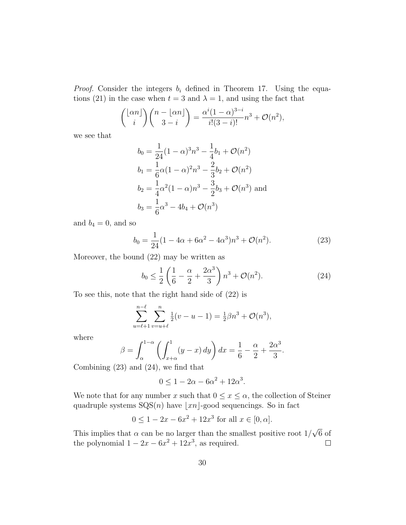*Proof.* Consider the integers  $b_i$  defined in Theorem 17. Using the equations (21) in the case when  $t = 3$  and  $\lambda = 1$ , and using the fact that

$$
{\binom{\lfloor \alpha n \rfloor}{i}} {\binom{n - \lfloor \alpha n \rfloor}{3 - i}} = \frac{\alpha^i (1 - \alpha)^{3 - i}}{i!(3 - i)!} n^3 + \mathcal{O}(n^2),
$$

we see that

$$
b_0 = \frac{1}{24}(1 - \alpha)^3 n^3 - \frac{1}{4}b_1 + \mathcal{O}(n^2)
$$
  
\n
$$
b_1 = \frac{1}{6}\alpha(1 - \alpha)^2 n^3 - \frac{2}{3}b_2 + \mathcal{O}(n^2)
$$
  
\n
$$
b_2 = \frac{1}{4}\alpha^2(1 - \alpha)n^3 - \frac{3}{2}b_3 + \mathcal{O}(n^3)
$$
 and  
\n
$$
b_3 = \frac{1}{6}\alpha^3 - 4b_4 + \mathcal{O}(n^3)
$$

and  $b_4 = 0$ , and so

$$
b_0 = \frac{1}{24}(1 - 4\alpha + 6\alpha^2 - 4\alpha^3)n^3 + \mathcal{O}(n^2).
$$
 (23)

Moreover, the bound (22) may be written as

$$
b_0 \le \frac{1}{2} \left( \frac{1}{6} - \frac{\alpha}{2} + \frac{2\alpha^3}{3} \right) n^3 + \mathcal{O}(n^2). \tag{24}
$$

To see this, note that the right hand side of (22) is

$$
\sum_{u=\ell+1}^{n-\ell} \sum_{v=u+\ell}^{n} \frac{1}{2}(v-u-1) = \frac{1}{2}\beta n^3 + \mathcal{O}(n^3),
$$

where

$$
\beta = \int_{\alpha}^{1-\alpha} \left( \int_{x+\alpha}^{1} (y-x) \, dy \right) dx = \frac{1}{6} - \frac{\alpha}{2} + \frac{2\alpha^3}{3}.
$$

Combining (23) and (24), we find that

$$
0 \le 1 - 2\alpha - 6\alpha^2 + 12\alpha^3.
$$

We note that for any number x such that  $0 \leq x \leq \alpha$ , the collection of Steiner quadruple systems  $SQS(n)$  have  $|x_n|$ -good sequencings. So in fact

$$
0 \le 1 - 2x - 6x^2 + 12x^3
$$
 for all  $x \in [0, \alpha]$ .

√ This implies that  $\alpha$  can be no larger than the smallest positive root  $1/$ 6 of the polynomial  $1 - 2x - 6x^2 + 12x^3$ , as required.  $\Box$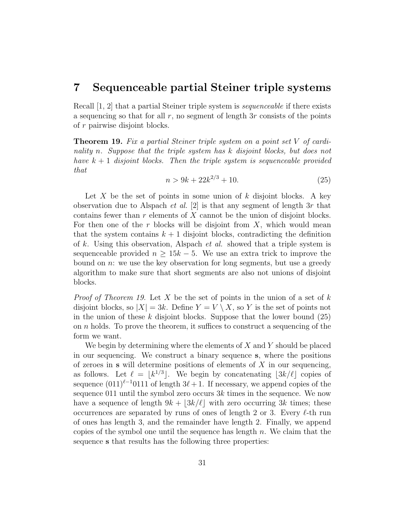### 7 Sequenceable partial Steiner triple systems

Recall [1, 2] that a partial Steiner triple system is *sequenceable* if there exists a sequencing so that for all  $r$ , no segment of length 3r consists of the points of r pairwise disjoint blocks.

Theorem 19. Fix a partial Steiner triple system on a point set V of cardinality n. Suppose that the triple system has k disjoint blocks, but does not have  $k + 1$  disjoint blocks. Then the triple system is sequenceable provided that

$$
n > 9k + 22k^{2/3} + 10.
$$
 (25)

Let  $X$  be the set of points in some union of  $k$  disjoint blocks. A key observation due to Alspach *et al.* [2] is that any segment of length  $3r$  that contains fewer than  $r$  elements of  $X$  cannot be the union of disjoint blocks. For then one of the r blocks will be disjoint from  $X$ , which would mean that the system contains  $k+1$  disjoint blocks, contradicting the definition of k. Using this observation, Alspach et al. showed that a triple system is sequenceable provided  $n \geq 15k - 5$ . We use an extra trick to improve the bound on  $n$ : we use the key observation for long segments, but use a greedy algorithm to make sure that short segments are also not unions of disjoint blocks.

*Proof of Theorem 19.* Let X be the set of points in the union of a set of k disjoint blocks, so  $|X| = 3k$ . Define  $Y = V \setminus X$ , so Y is the set of points not in the union of these  $k$  disjoint blocks. Suppose that the lower bound  $(25)$ on n holds. To prove the theorem, it suffices to construct a sequencing of the form we want.

We begin by determining where the elements of  $X$  and  $Y$  should be placed in our sequencing. We construct a binary sequence s, where the positions of zeroes in  $s$  will determine positions of elements of  $X$  in our sequencing, as follows. Let  $\ell = \lfloor k^{1/3} \rfloor$ . We begin by concatenating  $\lfloor 3k/\ell \rfloor$  copies of sequence  $(011)^{\ell-1}$ 0111 of length  $3\ell + 1$ . If necessary, we append copies of the sequence 011 until the symbol zero occurs  $3k$  times in the sequence. We now have a sequence of length  $9k + 3k/\ell$  with zero occurring 3k times; these occurrences are separated by runs of ones of length 2 or 3. Every  $\ell$ -th run of ones has length 3, and the remainder have length 2. Finally, we append copies of the symbol one until the sequence has length  $n$ . We claim that the sequence s that results has the following three properties: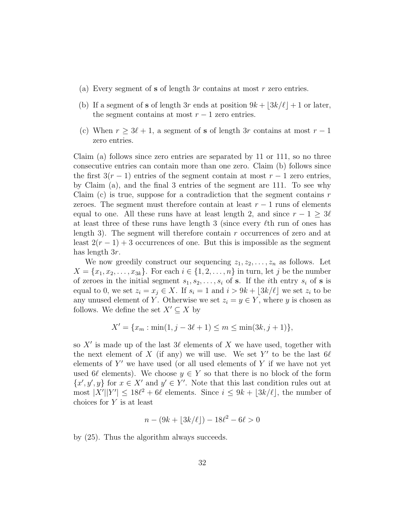- (a) Every segment of  $s$  of length  $3r$  contains at most  $r$  zero entries.
- (b) If a segment of s of length 3r ends at position  $9k + 3k/\ell + 1$  or later, the segment contains at most  $r - 1$  zero entries.
- (c) When  $r \geq 3\ell + 1$ , a segment of s of length 3r contains at most  $r 1$ zero entries.

Claim (a) follows since zero entries are separated by 11 or 111, so no three consecutive entries can contain more than one zero. Claim (b) follows since the first  $3(r-1)$  entries of the segment contain at most  $r-1$  zero entries, by Claim (a), and the final 3 entries of the segment are 111. To see why Claim (c) is true, suppose for a contradiction that the segment contains  $r$ zeroes. The segment must therefore contain at least  $r - 1$  runs of elements equal to one. All these runs have at least length 2, and since  $r - 1 \geq 3\ell$ at least three of these runs have length 3 (since every  $\ell$ th run of ones has length 3). The segment will therefore contain  $r$  occurrences of zero and at least  $2(r-1)+3$  occurrences of one. But this is impossible as the segment has length 3r.

We now greedily construct our sequencing  $z_1, z_2, \ldots, z_n$  as follows. Let  $X = \{x_1, x_2, ..., x_{3k}\}.$  For each  $i \in \{1, 2, ..., n\}$  in turn, let j be the number of zeroes in the initial segment  $s_1, s_2, \ldots, s_i$  of s. If the *i*th entry  $s_i$  of s is equal to 0, we set  $z_i = x_j \in X$ . If  $s_i = 1$  and  $i > 9k + \lfloor 3k/\ell \rfloor$  we set  $z_i$  to be any unused element of Y. Otherwise we set  $z_i = y \in Y$ , where y is chosen as follows. We define the set  $X' \subseteq X$  by

$$
X' = \{x_m : \min(1, j - 3\ell + 1) \le m \le \min(3k, j + 1)\},\
$$

so  $X'$  is made up of the last  $3\ell$  elements of X we have used, together with the next element of X (if any) we will use. We set Y' to be the last  $6\ell$ elements of  $Y'$  we have used (or all used elements of  $Y$  if we have not yet used 6 $\ell$  elements). We choose  $y \in Y$  so that there is no block of the form  $\{x', y', y\}$  for  $x \in X'$  and  $y' \in Y'$ . Note that this last condition rules out at most  $|X'||Y'| \leq 18\ell^2 + 6\ell$  elements. Since  $i \leq 9k + \lfloor 3k/\ell \rfloor$ , the number of choices for  $Y$  is at least

$$
n - (9k + \lfloor 3k/\ell \rfloor) - 18\ell^2 - 6\ell > 0
$$

by (25). Thus the algorithm always succeeds.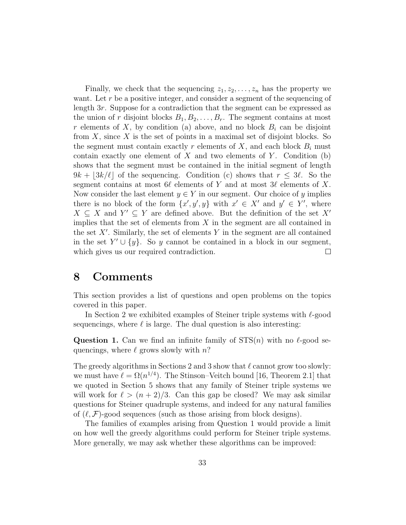Finally, we check that the sequencing  $z_1, z_2, \ldots, z_n$  has the property we want. Let  $r$  be a positive integer, and consider a segment of the sequencing of length 3r. Suppose for a contradiction that the segment can be expressed as the union of r disjoint blocks  $B_1, B_2, \ldots, B_r$ . The segment contains at most r elements of X, by condition (a) above, and no block  $B_i$  can be disjoint from  $X$ , since  $X$  is the set of points in a maximal set of disjoint blocks. So the segment must contain exactly r elements of  $X$ , and each block  $B_i$  must contain exactly one element of  $X$  and two elements of  $Y$ . Condition (b) shows that the segment must be contained in the initial segment of length  $9k + 3k/\ell$  of the sequencing. Condition (c) shows that  $r \leq 3\ell$ . So the segment contains at most  $6\ell$  elements of Y and at most  $3\ell$  elements of X. Now consider the last element  $y \in Y$  in our segment. Our choice of y implies there is no block of the form  $\{x', y', y\}$  with  $x' \in X'$  and  $y' \in Y'$ , where  $X \subseteq X$  and  $Y' \subseteq Y$  are defined above. But the definition of the set X' implies that the set of elements from  $X$  in the segment are all contained in the set  $X'$ . Similarly, the set of elements Y in the segment are all contained in the set  $Y' \cup \{y\}$ . So y cannot be contained in a block in our segment, which gives us our required contradiction.  $\Box$ 

### 8 Comments

This section provides a list of questions and open problems on the topics covered in this paper.

In Section 2 we exhibited examples of Steiner triple systems with  $\ell$ -good sequencings, where  $\ell$  is large. The dual question is also interesting:

**Question 1.** Can we find an infinite family of  $STS(n)$  with no  $\ell$ -good sequencings, where  $\ell$  grows slowly with n?

The greedy algorithms in Sections 2 and 3 show that  $\ell$  cannot grow too slowly: we must have  $\ell = \Omega(n^{1/4})$ . The Stinson–Veitch bound [16, Theorem 2.1] that we quoted in Section 5 shows that any family of Steiner triple systems we will work for  $\ell > (n + 2)/3$ . Can this gap be closed? We may ask similar questions for Steiner quadruple systems, and indeed for any natural families of  $(\ell, \mathcal{F})$ -good sequences (such as those arising from block designs).

The families of examples arising from Question 1 would provide a limit on how well the greedy algorithms could perform for Steiner triple systems. More generally, we may ask whether these algorithms can be improved: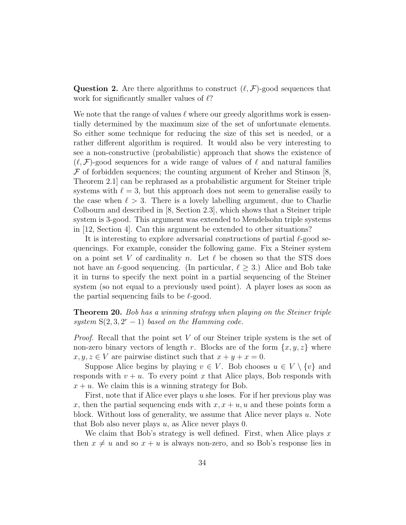**Question 2.** Are there algorithms to construct  $(\ell, \mathcal{F})$ -good sequences that work for significantly smaller values of  $\ell$ ?

We note that the range of values  $\ell$  where our greedy algorithms work is essentially determined by the maximum size of the set of unfortunate elements. So either some technique for reducing the size of this set is needed, or a rather different algorithm is required. It would also be very interesting to see a non-constructive (probabilistic) approach that shows the existence of  $(\ell, \mathcal{F})$ -good sequences for a wide range of values of  $\ell$  and natural families  $\mathcal F$  of forbidden sequences; the counting argument of Kreher and Stinson [8, Theorem 2.1] can be rephrased as a probabilistic argument for Steiner triple systems with  $\ell = 3$ , but this approach does not seem to generalise easily to the case when  $\ell > 3$ . There is a lovely labelling argument, due to Charlie Colbourn and described in [8, Section 2.3], which shows that a Steiner triple system is 3-good. This argument was extended to Mendelsohn triple systems in [12, Section 4]. Can this argument be extended to other situations?

It is interesting to explore adversarial constructions of partial  $\ell$ -good sequencings. For example, consider the following game. Fix a Steiner system on a point set V of cardinality n. Let  $\ell$  be chosen so that the STS does not have an  $\ell$ -good sequencing. (In particular,  $\ell \geq 3$ .) Alice and Bob take it in turns to specify the next point in a partial sequencing of the Steiner system (so not equal to a previously used point). A player loses as soon as the partial sequencing fails to be  $\ell$ -good.

Theorem 20. Bob has a winning strategy when playing on the Steiner triple system  $S(2,3,2^r-1)$  based on the Hamming code.

Proof. Recall that the point set V of our Steiner triple system is the set of non-zero binary vectors of length r. Blocks are of the form  $\{x, y, z\}$  where  $x, y, z \in V$  are pairwise distinct such that  $x + y + x = 0$ .

Suppose Alice begins by playing  $v \in V$ . Bob chooses  $u \in V \setminus \{v\}$  and responds with  $v + u$ . To every point x that Alice plays, Bob responds with  $x + u$ . We claim this is a winning strategy for Bob.

First, note that if Alice ever plays u she loses. For if her previous play was x, then the partial sequencing ends with  $x, x + u, u$  and these points form a block. Without loss of generality, we assume that Alice never plays  $u$ . Note that Bob also never plays  $u$ , as Alice never plays 0.

We claim that Bob's strategy is well defined. First, when Alice plays  $x$ then  $x \neq u$  and so  $x + u$  is always non-zero, and so Bob's response lies in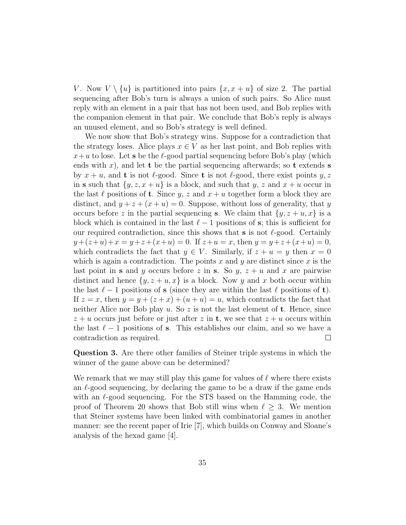V. Now  $V \setminus \{u\}$  is partitioned into pairs  $\{x, x + u\}$  of size 2. The partial sequencing after Bob's turn is always a union of such pairs. So Alice must reply with an element in a pair that has not been used, and Bob replies with the companion element in that pair. We conclude that Bob's reply is always an unused element, and so Bob's strategy is well defined.

We now show that Bob's strategy wins. Suppose for a contradiction that the strategy loses. Alice plays  $x \in V$  as her last point, and Bob replies with  $x+u$  to lose. Let **s** be the  $\ell$ -good partial sequencing before Bob's play (which ends with x), and let t be the partial sequencing afterwards; so t extends s by  $x + u$ , and **t** is not  $\ell$ -good. Since **t** is not  $\ell$ -good, there exist points  $y, z$ in s such that  $\{y, z, x + u\}$  is a block, and such that y, z and  $x + u$  occur in the last  $\ell$  positions of **t**. Since y, z and  $x + u$  together form a block they are distinct, and  $y + z + (x + u) = 0$ . Suppose, without loss of generality, that y occurs before z in the partial sequencing **s**. We claim that  $\{y, z + u, x\}$  is a block which is contained in the last  $\ell - 1$  positions of s; this is sufficient for our required contradiction, since this shows that  $s$  is not  $\ell$ -good. Certainly  $y+(z+u)+x = y+z+(x+u) = 0$ . If  $z+u = x$ , then  $y = y+z+(x+u) = 0$ , which contradicts the fact that  $y \in V$ . Similarly, if  $z + u = y$  then  $x = 0$ which is again a contradiction. The points x and y are distinct since x is the last point in s and y occurs before z in s. So y,  $z + u$  and x are pairwise distinct and hence  $\{y, z + u, x\}$  is a block. Now y and x both occur within the last  $\ell - 1$  positions of s (since they are within the last  $\ell$  positions of t). If  $z = x$ , then  $y = y + (z + x) + (u + u) = u$ , which contradicts the fact that neither Alice nor Bob play u. So z is not the last element of **t**. Hence, since  $z + u$  occurs just before or just after z in **t**, we see that  $z + u$  occurs within the last  $\ell - 1$  positions of s. This establishes our claim, and so we have a contradiction as required.  $\Box$ 

Question 3. Are there other families of Steiner triple systems in which the winner of the game above can be determined?

We remark that we may still play this game for values of  $\ell$  where there exists an  $\ell$ -good sequencing, by declaring the game to be a draw if the game ends with an  $\ell$ -good sequencing. For the STS based on the Hamming code, the proof of Theorem 20 shows that Bob still wins when  $\ell \geq 3$ . We mention that Steiner systems have been linked with combinatorial games in another manner: see the recent paper of Irie [7], which builds on Conway and Sloane's analysis of the hexad game [4].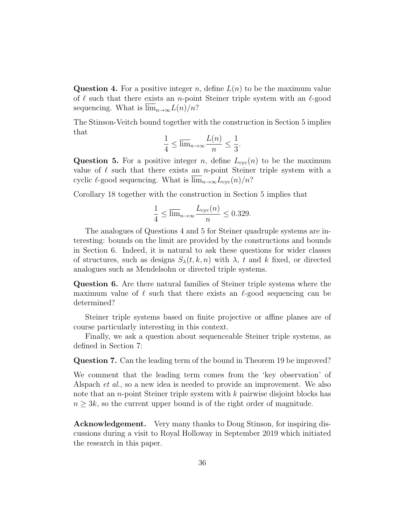**Question 4.** For a positive integer n, define  $L(n)$  to be the maximum value of  $\ell$  such that there exists an *n*-point Steiner triple system with an  $\ell$ -good sequencing. What is  $\lim_{n\to\infty} L(n)/n$ ?

The Stinson-Veitch bound together with the construction in Section 5 implies that

$$
\frac{1}{4} \le \overline{\lim}_{n \to \infty} \frac{L(n)}{n} \le \frac{1}{3}.
$$

**Question 5.** For a positive integer n, define  $L_{\text{cyc}}(n)$  to be the maximum value of  $\ell$  such that there exists an *n*-point Steiner triple system with a cyclic  $\ell$ -good sequencing. What is  $\lim_{n\to\infty}L_{\text{cyc}}(n)/n$ ?

Corollary 18 together with the construction in Section 5 implies that

$$
\frac{1}{4} \le \overline{\lim}_{n \to \infty} \frac{L_{\text{cyc}}(n)}{n} \le 0.329.
$$

The analogues of Questions 4 and 5 for Steiner quadruple systems are interesting: bounds on the limit are provided by the constructions and bounds in Section 6. Indeed, it is natural to ask these questions for wider classes of structures, such as designs  $S_{\lambda}(t, k, n)$  with  $\lambda$ , t and k fixed, or directed analogues such as Mendelsohn or directed triple systems.

Question 6. Are there natural families of Steiner triple systems where the maximum value of  $\ell$  such that there exists an  $\ell$ -good sequencing can be determined?

Steiner triple systems based on finite projective or affine planes are of course particularly interesting in this context.

Finally, we ask a question about sequenceable Steiner triple systems, as defined in Section 7:

Question 7. Can the leading term of the bound in Theorem 19 be improved?

We comment that the leading term comes from the 'key observation' of Alspach et al., so a new idea is needed to provide an improvement. We also note that an *n*-point Steiner triple system with  $k$  pairwise disjoint blocks has  $n \geq 3k$ , so the current upper bound is of the right order of magnitude.

Acknowledgement. Very many thanks to Doug Stinson, for inspiring discussions during a visit to Royal Holloway in September 2019 which initiated the research in this paper.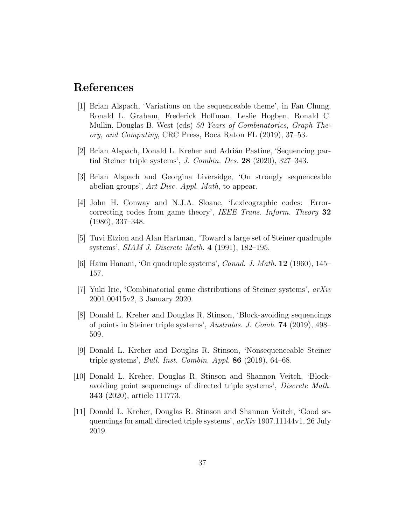### References

- [1] Brian Alspach, 'Variations on the sequenceable theme', in Fan Chung, Ronald L. Graham, Frederick Hoffman, Leslie Hogben, Ronald C. Mullin, Douglas B. West (eds) 50 Years of Combinatorics, Graph Theory, and Computing, CRC Press, Boca Raton FL (2019), 37–53.
- [2] Brian Alspach, Donald L. Kreher and Adrián Pastine, 'Sequencing partial Steiner triple systems', J. Combin. Des. 28 (2020), 327–343.
- [3] Brian Alspach and Georgina Liversidge, 'On strongly sequenceable abelian groups', Art Disc. Appl. Math, to appear.
- [4] John H. Conway and N.J.A. Sloane, 'Lexicographic codes: Errorcorrecting codes from game theory', IEEE Trans. Inform. Theory 32 (1986), 337–348.
- [5] Tuvi Etzion and Alan Hartman, 'Toward a large set of Steiner quadruple systems', SIAM J. Discrete Math. 4 (1991), 182–195.
- [6] Haim Hanani, 'On quadruple systems', Canad. J. Math. 12 (1960), 145– 157.
- [7] Yuki Irie, 'Combinatorial game distributions of Steiner systems', arXiv 2001.00415v2, 3 January 2020.
- [8] Donald L. Kreher and Douglas R. Stinson, 'Block-avoiding sequencings of points in Steiner triple systems', Australas. J. Comb. 74 (2019), 498– 509.
- [9] Donald L. Kreher and Douglas R. Stinson, 'Nonsequenceable Steiner triple systems', Bull. Inst. Combin. Appl. 86 (2019), 64–68.
- [10] Donald L. Kreher, Douglas R. Stinson and Shannon Veitch, 'Blockavoiding point sequencings of directed triple systems', Discrete Math. 343 (2020), article 111773.
- [11] Donald L. Kreher, Douglas R. Stinson and Shannon Veitch, 'Good sequencings for small directed triple systems', arXiv 1907.11144v1, 26 July 2019.